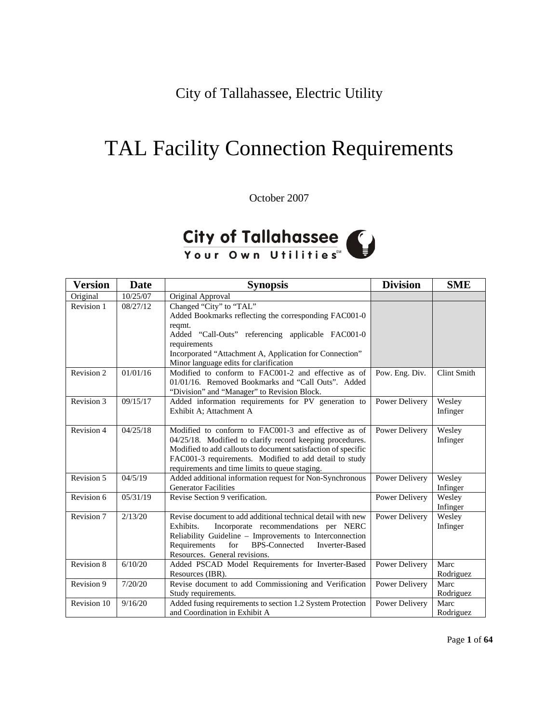City of Tallahassee, Electric Utility

# TAL Facility Connection Requirements

October 2007

# City of Tallahassee

| <b>Version</b> | <b>Date</b> | <b>Synopsis</b>                                                                                                                                                                                                                                                                              | <b>Division</b> | <b>SME</b>         |
|----------------|-------------|----------------------------------------------------------------------------------------------------------------------------------------------------------------------------------------------------------------------------------------------------------------------------------------------|-----------------|--------------------|
| Original       | 10/25/07    | Original Approval                                                                                                                                                                                                                                                                            |                 |                    |
| Revision 1     | 08/27/12    | Changed "City" to "TAL"<br>Added Bookmarks reflecting the corresponding FAC001-0<br>reqmt.<br>Added "Call-Outs" referencing applicable FAC001-0<br>requirements<br>Incorporated "Attachment A, Application for Connection"<br>Minor language edits for clarification                         |                 |                    |
| Revision 2     | 01/01/16    | Modified to conform to FAC001-2 and effective as of<br>01/01/16. Removed Bookmarks and "Call Outs". Added<br>"Division" and "Manager" to Revision Block.                                                                                                                                     | Pow. Eng. Div.  | Clint Smith        |
| Revision $3$   | 09/15/17    | Added information requirements for PV generation to<br>Exhibit A; Attachment A                                                                                                                                                                                                               | Power Delivery  | Wesley<br>Infinger |
| Revision 4     | 04/25/18    | Modified to conform to FAC001-3 and effective as of<br>04/25/18. Modified to clarify record keeping procedures.<br>Modified to add callouts to document satisfaction of specific<br>FAC001-3 requirements. Modified to add detail to study<br>requirements and time limits to queue staging. | Power Delivery  | Wesley<br>Infinger |
| Revision 5     | 04/5/19     | Added additional information request for Non-Synchronous<br><b>Generator Facilities</b>                                                                                                                                                                                                      | Power Delivery  | Wesley<br>Infinger |
| Revision 6     | 05/31/19    | Revise Section 9 verification.                                                                                                                                                                                                                                                               | Power Delivery  | Wesley<br>Infinger |
| Revision 7     | 2/13/20     | Revise document to add additional technical detail with new<br>Incorporate recommendations per NERC<br>Exhibits.<br>Reliability Guideline - Improvements to Interconnection<br>for<br><b>BPS-Connected</b><br>Requirements<br><b>Inverter-Based</b><br>Resources. General revisions.         | Power Delivery  | Wesley<br>Infinger |
| Revision 8     | 6/10/20     | Added PSCAD Model Requirements for Inverter-Based<br>Resources (IBR).                                                                                                                                                                                                                        | Power Delivery  | Marc<br>Rodriguez  |
| Revision 9     | 7/20/20     | Revise document to add Commissioning and Verification<br>Study requirements.                                                                                                                                                                                                                 | Power Delivery  | Marc<br>Rodriguez  |
| Revision 10    | 9/16/20     | Added fusing requirements to section 1.2 System Protection<br>and Coordination in Exhibit A                                                                                                                                                                                                  | Power Delivery  | Marc<br>Rodriguez  |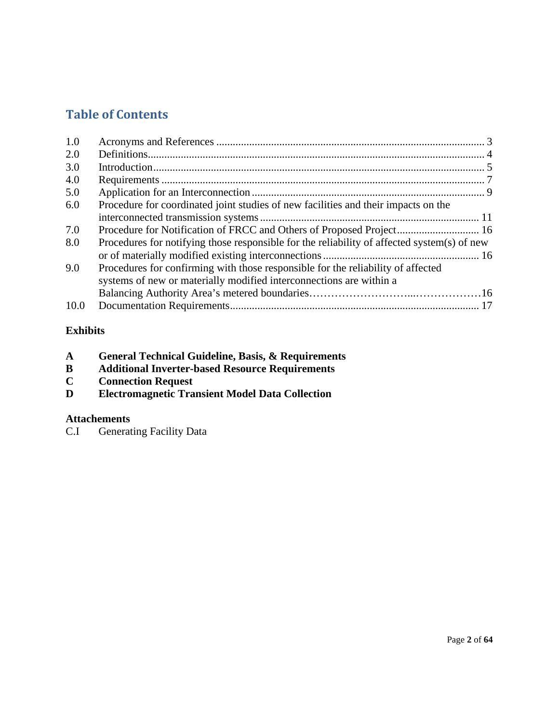# **Table of Contents**

| 1.0  |                                                                                                                                                         |  |
|------|---------------------------------------------------------------------------------------------------------------------------------------------------------|--|
| 2.0  |                                                                                                                                                         |  |
| 3.0  |                                                                                                                                                         |  |
| 4.0  |                                                                                                                                                         |  |
| 5.0  |                                                                                                                                                         |  |
| 6.0  | Procedure for coordinated joint studies of new facilities and their impacts on the                                                                      |  |
| 7.0  | Procedure for Notification of FRCC and Others of Proposed Project 16                                                                                    |  |
| 8.0  | Procedures for notifying those responsible for the reliability of affected system(s) of new                                                             |  |
|      |                                                                                                                                                         |  |
| 9.0  | Procedures for confirming with those responsible for the reliability of affected<br>systems of new or materially modified interconnections are within a |  |
|      |                                                                                                                                                         |  |
| 10.0 |                                                                                                                                                         |  |

# **Exhibits**

| <b>General Technical Guideline, Basis, &amp; Requirements</b><br>A |  |
|--------------------------------------------------------------------|--|
|--------------------------------------------------------------------|--|

- **B Additional Inverter-based Resource Requirements**
- **C Connection Request**
- **Electromagnetic Transient Model Data Collection**

# **Attachements**

C.I Generating Facility Data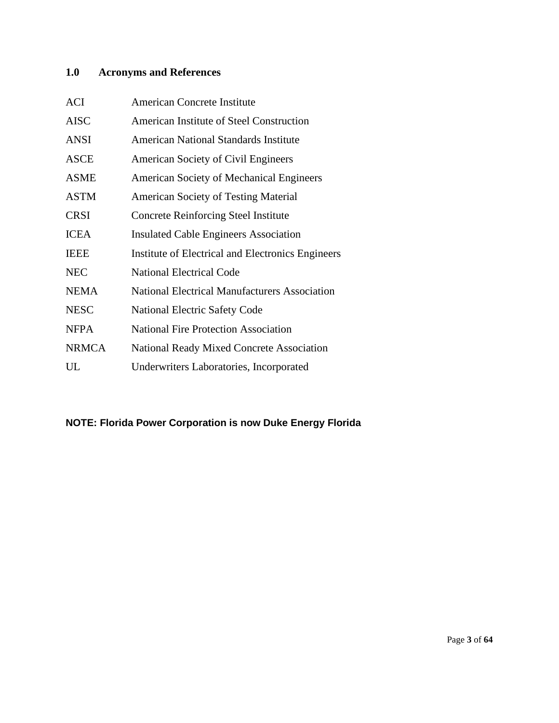# <span id="page-2-0"></span>**1.0 Acronyms and References**

| <b>ACI</b>   | <b>American Concrete Institute</b>                   |
|--------------|------------------------------------------------------|
| <b>AISC</b>  | American Institute of Steel Construction             |
| <b>ANSI</b>  | <b>American National Standards Institute</b>         |
| <b>ASCE</b>  | American Society of Civil Engineers                  |
| <b>ASME</b>  | <b>American Society of Mechanical Engineers</b>      |
| <b>ASTM</b>  | <b>American Society of Testing Material</b>          |
| <b>CRSI</b>  | <b>Concrete Reinforcing Steel Institute</b>          |
| <b>ICEA</b>  | <b>Insulated Cable Engineers Association</b>         |
| <b>IEEE</b>  | Institute of Electrical and Electronics Engineers    |
| <b>NEC</b>   | <b>National Electrical Code</b>                      |
| <b>NEMA</b>  | <b>National Electrical Manufacturers Association</b> |
| <b>NESC</b>  | <b>National Electric Safety Code</b>                 |
| <b>NFPA</b>  | <b>National Fire Protection Association</b>          |
| <b>NRMCA</b> | <b>National Ready Mixed Concrete Association</b>     |
| UL           | Underwriters Laboratories, Incorporated              |

# **NOTE: Florida Power Corporation is now Duke Energy Florida**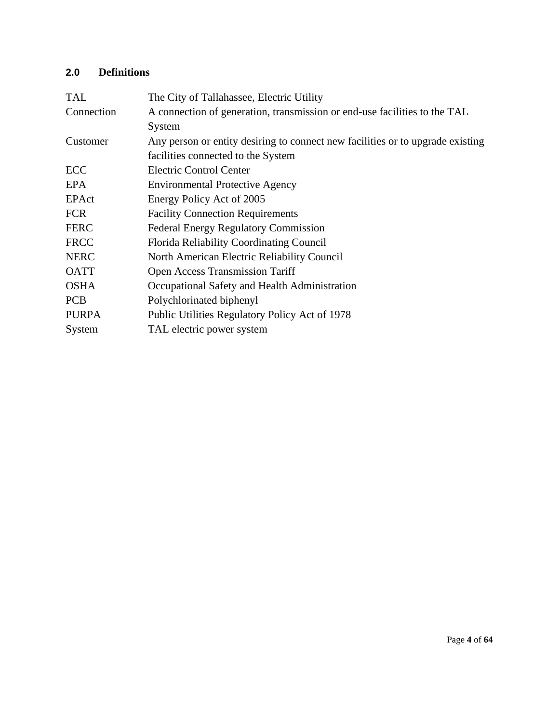# <span id="page-3-0"></span>**2.0 Definitions**

| <b>TAL</b>   | The City of Tallahassee, Electric Utility                                      |
|--------------|--------------------------------------------------------------------------------|
| Connection   | A connection of generation, transmission or end-use facilities to the TAL      |
|              | System                                                                         |
| Customer     | Any person or entity desiring to connect new facilities or to upgrade existing |
|              | facilities connected to the System                                             |
| ECC          | <b>Electric Control Center</b>                                                 |
| EPA          | <b>Environmental Protective Agency</b>                                         |
| EPAct        | Energy Policy Act of 2005                                                      |
| <b>FCR</b>   | <b>Facility Connection Requirements</b>                                        |
| <b>FERC</b>  | <b>Federal Energy Regulatory Commission</b>                                    |
| <b>FRCC</b>  | Florida Reliability Coordinating Council                                       |
| <b>NERC</b>  | North American Electric Reliability Council                                    |
| <b>OATT</b>  | <b>Open Access Transmission Tariff</b>                                         |
| <b>OSHA</b>  | Occupational Safety and Health Administration                                  |
| <b>PCB</b>   | Polychlorinated biphenyl                                                       |
| <b>PURPA</b> | Public Utilities Regulatory Policy Act of 1978                                 |
| System       | TAL electric power system                                                      |
|              |                                                                                |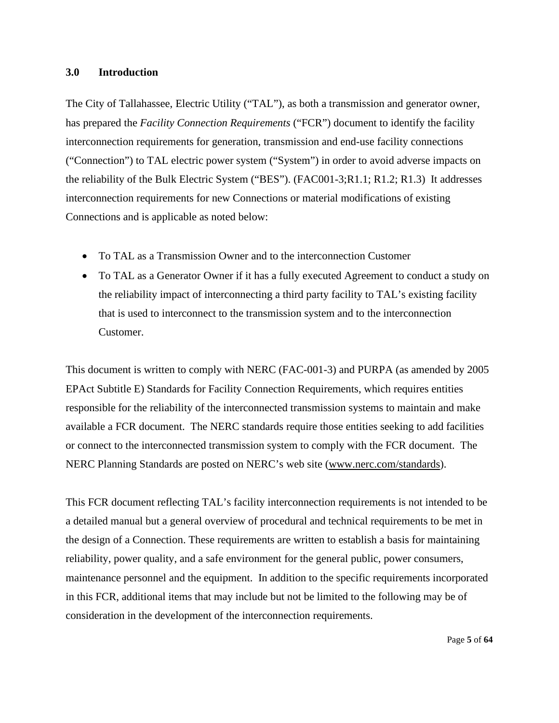#### <span id="page-4-0"></span>**3.0 Introduction**

The City of Tallahassee, Electric Utility ("TAL"), as both a transmission and generator owner, has prepared the *Facility Connection Requirements* ("FCR") document to identify the facility interconnection requirements for generation, transmission and end-use facility connections ("Connection") to TAL electric power system ("System") in order to avoid adverse impacts on the reliability of the Bulk Electric System ("BES"). (FAC001-3;R1.1; R1.2; R1.3) It addresses interconnection requirements for new Connections or material modifications of existing Connections and is applicable as noted below:

- To TAL as a Transmission Owner and to the interconnection Customer
- To TAL as a Generator Owner if it has a fully executed Agreement to conduct a study on the reliability impact of interconnecting a third party facility to TAL's existing facility that is used to interconnect to the transmission system and to the interconnection Customer.

This document is written to comply with NERC (FAC-001-3) and PURPA (as amended by 2005 EPAct Subtitle E) Standards for Facility Connection Requirements, which requires entities responsible for the reliability of the interconnected transmission systems to maintain and make available a FCR document. The NERC standards require those entities seeking to add facilities or connect to the interconnected transmission system to comply with the FCR document. The NERC Planning Standards are posted on NERC's web site [\(www.nerc.com/standards\)](http://www.nerc.com/standards).

This FCR document reflecting TAL's facility interconnection requirements is not intended to be a detailed manual but a general overview of procedural and technical requirements to be met in the design of a Connection. These requirements are written to establish a basis for maintaining reliability, power quality, and a safe environment for the general public, power consumers, maintenance personnel and the equipment. In addition to the specific requirements incorporated in this FCR, additional items that may include but not be limited to the following may be of consideration in the development of the interconnection requirements.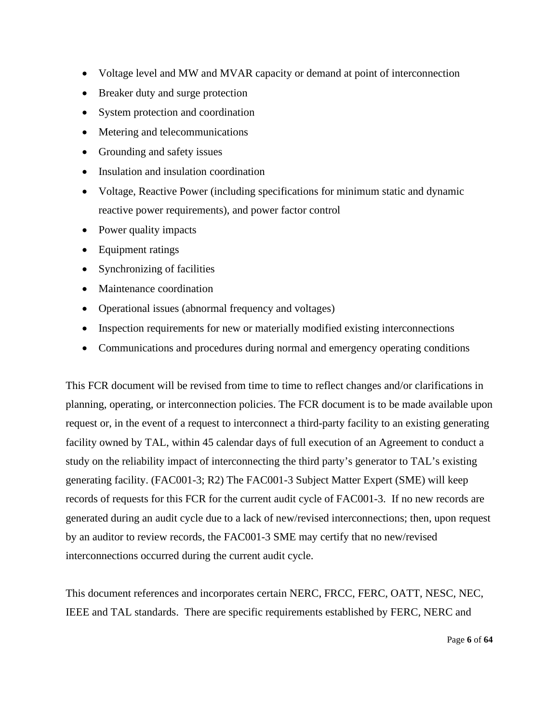- Voltage level and MW and MVAR capacity or demand at point of interconnection
- Breaker duty and surge protection
- System protection and coordination
- Metering and telecommunications
- Grounding and safety issues
- Insulation and insulation coordination
- Voltage, Reactive Power (including specifications for minimum static and dynamic reactive power requirements), and power factor control
- Power quality impacts
- Equipment ratings
- Synchronizing of facilities
- Maintenance coordination
- Operational issues (abnormal frequency and voltages)
- Inspection requirements for new or materially modified existing interconnections
- Communications and procedures during normal and emergency operating conditions

This FCR document will be revised from time to time to reflect changes and/or clarifications in planning, operating, or interconnection policies. The FCR document is to be made available upon request or, in the event of a request to interconnect a third-party facility to an existing generating facility owned by TAL, within 45 calendar days of full execution of an Agreement to conduct a study on the reliability impact of interconnecting the third party's generator to TAL's existing generating facility. (FAC001-3; R2) The FAC001-3 Subject Matter Expert (SME) will keep records of requests for this FCR for the current audit cycle of FAC001-3. If no new records are generated during an audit cycle due to a lack of new/revised interconnections; then, upon request by an auditor to review records, the FAC001-3 SME may certify that no new/revised interconnections occurred during the current audit cycle.

This document references and incorporates certain NERC, FRCC, FERC, OATT, NESC, NEC, IEEE and TAL standards. There are specific requirements established by FERC, NERC and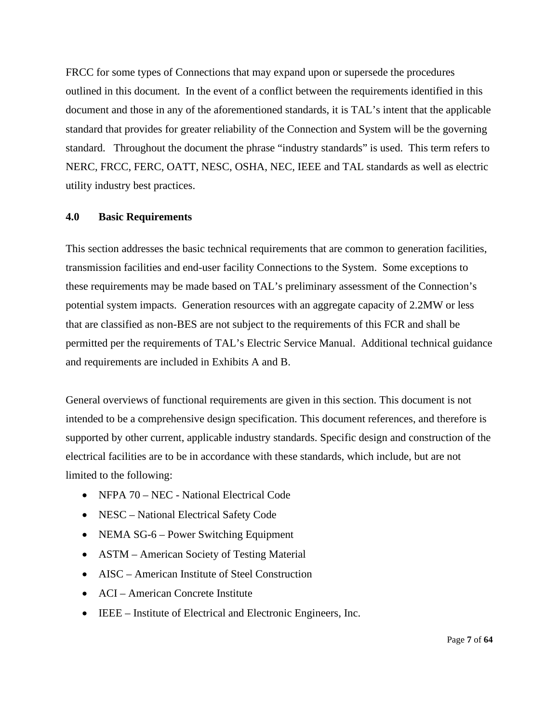FRCC for some types of Connections that may expand upon or supersede the procedures outlined in this document. In the event of a conflict between the requirements identified in this document and those in any of the aforementioned standards, it is TAL's intent that the applicable standard that provides for greater reliability of the Connection and System will be the governing standard. Throughout the document the phrase "industry standards" is used. This term refers to NERC, FRCC, FERC, OATT, NESC, OSHA, NEC, IEEE and TAL standards as well as electric utility industry best practices.

#### <span id="page-6-0"></span>**4.0 Basic Requirements**

This section addresses the basic technical requirements that are common to generation facilities, transmission facilities and end-user facility Connections to the System. Some exceptions to these requirements may be made based on TAL's preliminary assessment of the Connection's potential system impacts. Generation resources with an aggregate capacity of 2.2MW or less that are classified as non-BES are not subject to the requirements of this FCR and shall be permitted per the requirements of TAL's Electric Service Manual. Additional technical guidance and requirements are included in Exhibits A and B.

General overviews of functional requirements are given in this section. This document is not intended to be a comprehensive design specification. This document references, and therefore is supported by other current, applicable industry standards. Specific design and construction of the electrical facilities are to be in accordance with these standards, which include, but are not limited to the following:

- NFPA 70 NEC National Electrical Code
- NESC National Electrical Safety Code
- NEMA SG-6 Power Switching Equipment
- ASTM American Society of Testing Material
- AISC American Institute of Steel Construction
- ACI American Concrete Institute
- IEEE Institute of Electrical and Electronic Engineers, Inc.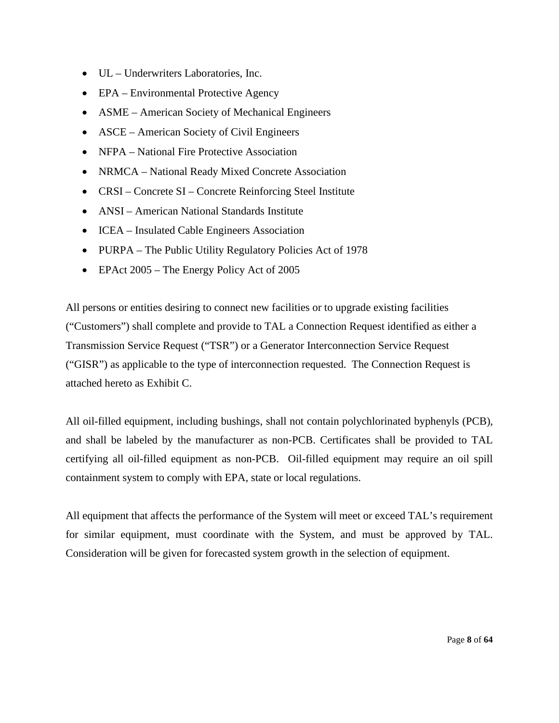- UL Underwriters Laboratories, Inc.
- EPA Environmental Protective Agency
- ASME American Society of Mechanical Engineers
- ASCE American Society of Civil Engineers
- NFPA National Fire Protective Association
- NRMCA National Ready Mixed Concrete Association
- CRSI Concrete SI Concrete Reinforcing Steel Institute
- ANSI American National Standards Institute
- ICEA Insulated Cable Engineers Association
- PURPA The Public Utility Regulatory Policies Act of 1978
- EPAct 2005 The Energy Policy Act of 2005

All persons or entities desiring to connect new facilities or to upgrade existing facilities ("Customers") shall complete and provide to TAL a Connection Request identified as either a Transmission Service Request ("TSR") or a Generator Interconnection Service Request ("GISR") as applicable to the type of interconnection requested. The Connection Request is attached hereto as Exhibit C.

All oil-filled equipment, including bushings, shall not contain polychlorinated byphenyls (PCB), and shall be labeled by the manufacturer as non-PCB. Certificates shall be provided to TAL certifying all oil-filled equipment as non-PCB. Oil-filled equipment may require an oil spill containment system to comply with EPA, state or local regulations.

All equipment that affects the performance of the System will meet or exceed TAL's requirement for similar equipment, must coordinate with the System, and must be approved by TAL. Consideration will be given for forecasted system growth in the selection of equipment.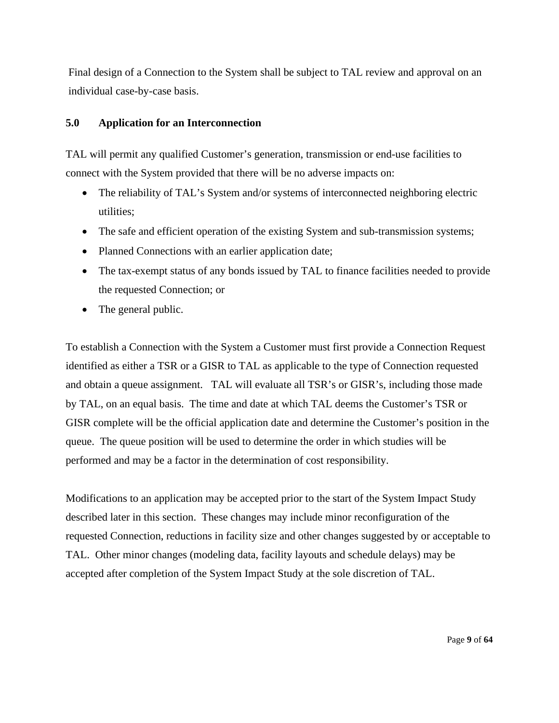Final design of a Connection to the System shall be subject to TAL review and approval on an individual case-by-case basis.

#### <span id="page-8-0"></span>**5.0 Application for an Interconnection**

TAL will permit any qualified Customer's generation, transmission or end-use facilities to connect with the System provided that there will be no adverse impacts on:

- The reliability of TAL's System and/or systems of interconnected neighboring electric utilities;
- The safe and efficient operation of the existing System and sub-transmission systems;
- Planned Connections with an earlier application date;
- The tax-exempt status of any bonds issued by TAL to finance facilities needed to provide the requested Connection; or
- The general public.

To establish a Connection with the System a Customer must first provide a Connection Request identified as either a TSR or a GISR to TAL as applicable to the type of Connection requested and obtain a queue assignment. TAL will evaluate all TSR's or GISR's, including those made by TAL, on an equal basis. The time and date at which TAL deems the Customer's TSR or GISR complete will be the official application date and determine the Customer's position in the queue. The queue position will be used to determine the order in which studies will be performed and may be a factor in the determination of cost responsibility.

Modifications to an application may be accepted prior to the start of the System Impact Study described later in this section. These changes may include minor reconfiguration of the requested Connection, reductions in facility size and other changes suggested by or acceptable to TAL. Other minor changes (modeling data, facility layouts and schedule delays) may be accepted after completion of the System Impact Study at the sole discretion of TAL.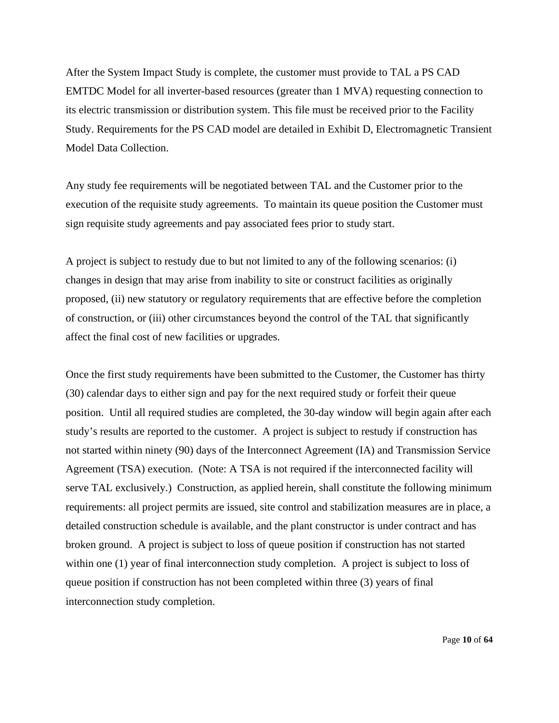After the System Impact Study is complete, the customer must provide to TAL a PS CAD EMTDC Model for all inverter-based resources (greater than 1 MVA) requesting connection to its electric transmission or distribution system. This file must be received prior to the Facility Study. Requirements for the PS CAD model are detailed in Exhibit D, Electromagnetic Transient Model Data Collection.

Any study fee requirements will be negotiated between TAL and the Customer prior to the execution of the requisite study agreements. To maintain its queue position the Customer must sign requisite study agreements and pay associated fees prior to study start.

A project is subject to restudy due to but not limited to any of the following scenarios: (i) changes in design that may arise from inability to site or construct facilities as originally proposed, (ii) new statutory or regulatory requirements that are effective before the completion of construction, or (iii) other circumstances beyond the control of the TAL that significantly affect the final cost of new facilities or upgrades.

Once the first study requirements have been submitted to the Customer, the Customer has thirty (30) calendar days to either sign and pay for the next required study or forfeit their queue position. Until all required studies are completed, the 30-day window will begin again after each study's results are reported to the customer. A project is subject to restudy if construction has not started within ninety (90) days of the Interconnect Agreement (IA) and Transmission Service Agreement (TSA) execution. (Note: A TSA is not required if the interconnected facility will serve TAL exclusively.) Construction, as applied herein, shall constitute the following minimum requirements: all project permits are issued, site control and stabilization measures are in place, a detailed construction schedule is available, and the plant constructor is under contract and has broken ground. A project is subject to loss of queue position if construction has not started within one (1) year of final interconnection study completion. A project is subject to loss of queue position if construction has not been completed within three (3) years of final interconnection study completion.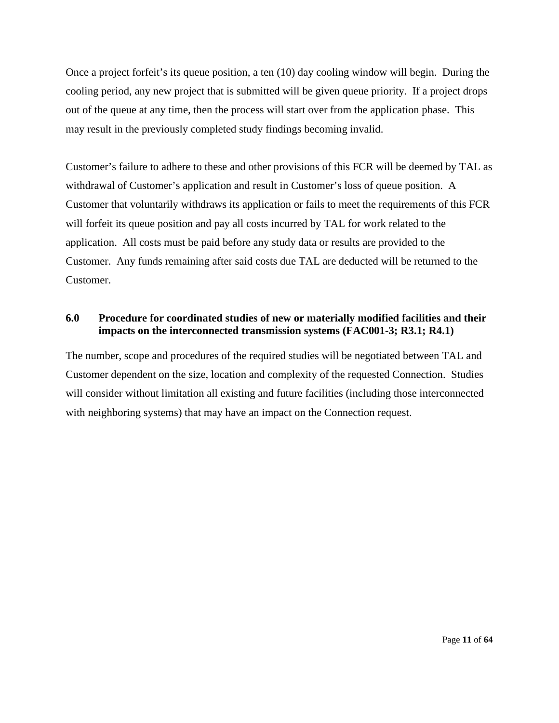Once a project forfeit's its queue position, a ten (10) day cooling window will begin. During the cooling period, any new project that is submitted will be given queue priority. If a project drops out of the queue at any time, then the process will start over from the application phase. This may result in the previously completed study findings becoming invalid.

Customer's failure to adhere to these and other provisions of this FCR will be deemed by TAL as withdrawal of Customer's application and result in Customer's loss of queue position. A Customer that voluntarily withdraws its application or fails to meet the requirements of this FCR will forfeit its queue position and pay all costs incurred by TAL for work related to the application. All costs must be paid before any study data or results are provided to the Customer. Any funds remaining after said costs due TAL are deducted will be returned to the Customer.

#### <span id="page-10-0"></span>**6.0 Procedure for coordinated studies of new or materially modified facilities and their impacts on the interconnected transmission systems (FAC001-3; R3.1; R4.1)**

The number, scope and procedures of the required studies will be negotiated between TAL and Customer dependent on the size, location and complexity of the requested Connection. Studies will consider without limitation all existing and future facilities (including those interconnected with neighboring systems) that may have an impact on the Connection request.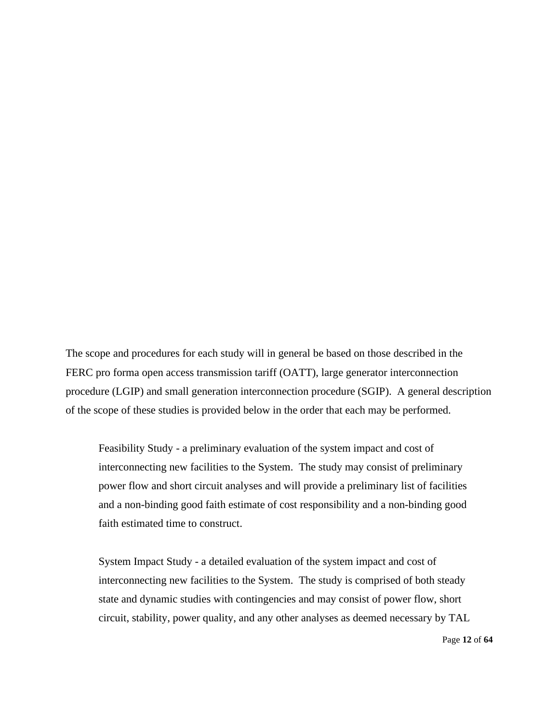The scope and procedures for each study will in general be based on those described in the FERC pro forma open access transmission tariff (OATT), large generator interconnection procedure (LGIP) and small generation interconnection procedure (SGIP). A general description of the scope of these studies is provided below in the order that each may be performed.

Feasibility Study - a preliminary evaluation of the system impact and cost of interconnecting new facilities to the System. The study may consist of preliminary power flow and short circuit analyses and will provide a preliminary list of facilities and a non-binding good faith estimate of cost responsibility and a non-binding good faith estimated time to construct.

System Impact Study - a detailed evaluation of the system impact and cost of interconnecting new facilities to the System. The study is comprised of both steady state and dynamic studies with contingencies and may consist of power flow, short circuit, stability, power quality, and any other analyses as deemed necessary by TAL

Page **12** of **64**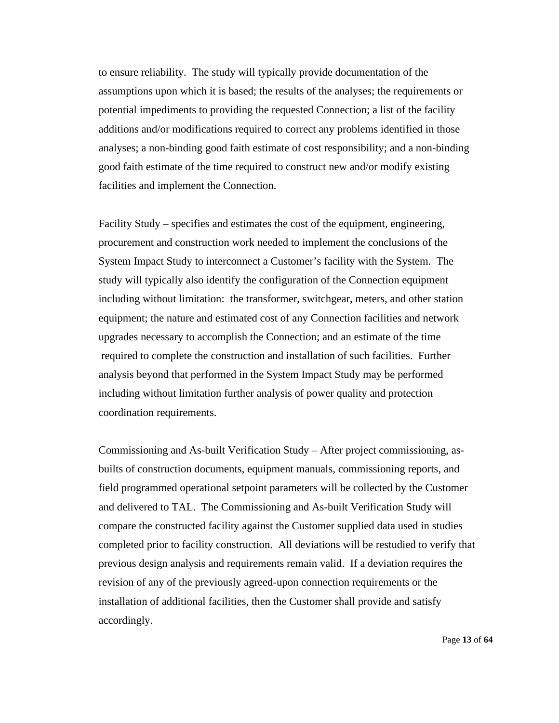to ensure reliability. The study will typically provide documentation of the assumptions upon which it is based; the results of the analyses; the requirements or potential impediments to providing the requested Connection; a list of the facility additions and/or modifications required to correct any problems identified in those analyses; a non-binding good faith estimate of cost responsibility; and a non-binding good faith estimate of the time required to construct new and/or modify existing facilities and implement the Connection.

Facility Study – specifies and estimates the cost of the equipment, engineering, procurement and construction work needed to implement the conclusions of the System Impact Study to interconnect a Customer's facility with the System. The study will typically also identify the configuration of the Connection equipment including without limitation: the transformer, switchgear, meters, and other station equipment; the nature and estimated cost of any Connection facilities and network upgrades necessary to accomplish the Connection; and an estimate of the time required to complete the construction and installation of such facilities. Further analysis beyond that performed in the System Impact Study may be performed including without limitation further analysis of power quality and protection coordination requirements.

Commissioning and As-built Verification Study – After project commissioning, asbuilts of construction documents, equipment manuals, commissioning reports, and field programmed operational setpoint parameters will be collected by the Customer and delivered to TAL. The Commissioning and As-built Verification Study will compare the constructed facility against the Customer supplied data used in studies completed prior to facility construction. All deviations will be restudied to verify that previous design analysis and requirements remain valid. If a deviation requires the revision of any of the previously agreed-upon connection requirements or the installation of additional facilities, then the Customer shall provide and satisfy accordingly.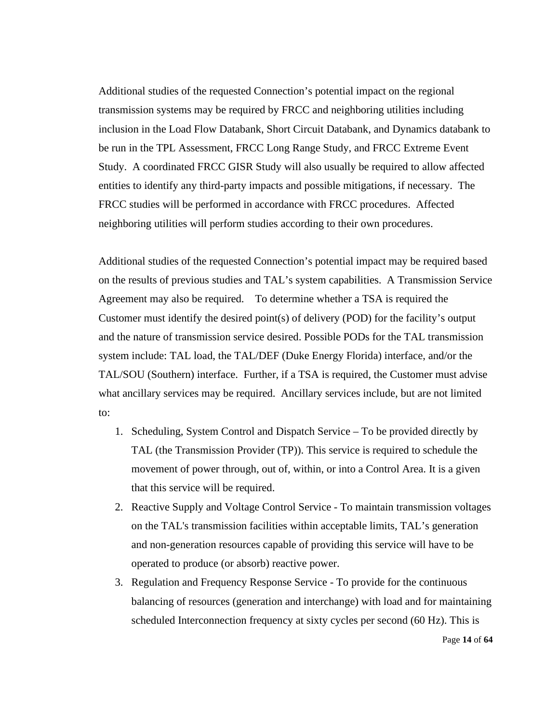Additional studies of the requested Connection's potential impact on the regional transmission systems may be required by FRCC and neighboring utilities including inclusion in the Load Flow Databank, Short Circuit Databank, and Dynamics databank to be run in the TPL Assessment, FRCC Long Range Study, and FRCC Extreme Event Study. A coordinated FRCC GISR Study will also usually be required to allow affected entities to identify any third-party impacts and possible mitigations, if necessary. The FRCC studies will be performed in accordance with FRCC procedures. Affected neighboring utilities will perform studies according to their own procedures.

Additional studies of the requested Connection's potential impact may be required based on the results of previous studies and TAL's system capabilities. A Transmission Service Agreement may also be required. To determine whether a TSA is required the Customer must identify the desired point(s) of delivery (POD) for the facility's output and the nature of transmission service desired. Possible PODs for the TAL transmission system include: TAL load, the TAL/DEF (Duke Energy Florida) interface, and/or the TAL/SOU (Southern) interface. Further, if a TSA is required, the Customer must advise what ancillary services may be required. Ancillary services include, but are not limited to:

- 1. Scheduling, System Control and Dispatch Service To be provided directly by TAL (the Transmission Provider (TP)). This service is required to schedule the movement of power through, out of, within, or into a Control Area. It is a given that this service will be required.
- 2. Reactive Supply and Voltage Control Service To maintain transmission voltages on the TAL's transmission facilities within acceptable limits, TAL's generation and non-generation resources capable of providing this service will have to be operated to produce (or absorb) reactive power.
- 3. Regulation and Frequency Response Service To provide for the continuous balancing of resources (generation and interchange) with load and for maintaining scheduled Interconnection frequency at sixty cycles per second (60 Hz). This is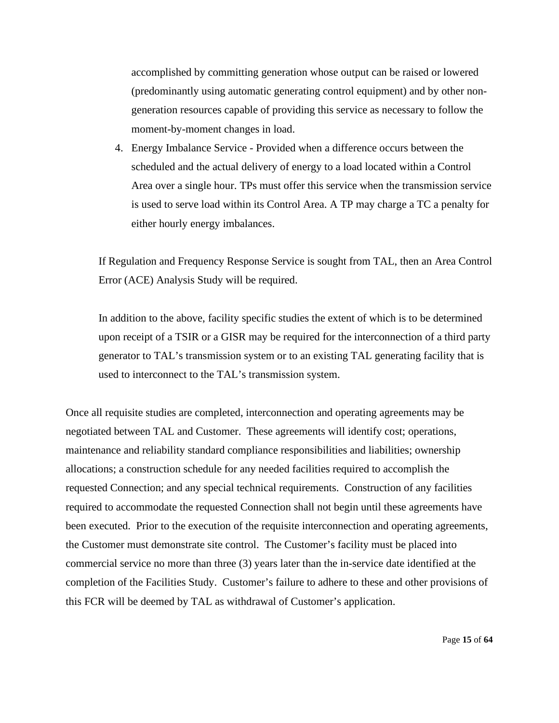accomplished by committing generation whose output can be raised or lowered (predominantly using automatic generating control equipment) and by other nongeneration resources capable of providing this service as necessary to follow the moment-by-moment changes in load.

4. Energy Imbalance Service - Provided when a difference occurs between the scheduled and the actual delivery of energy to a load located within a Control Area over a single hour. TPs must offer this service when the transmission service is used to serve load within its Control Area. A TP may charge a TC a penalty for either hourly energy imbalances.

If Regulation and Frequency Response Service is sought from TAL, then an Area Control Error (ACE) Analysis Study will be required.

In addition to the above, facility specific studies the extent of which is to be determined upon receipt of a TSIR or a GISR may be required for the interconnection of a third party generator to TAL's transmission system or to an existing TAL generating facility that is used to interconnect to the TAL's transmission system.

Once all requisite studies are completed, interconnection and operating agreements may be negotiated between TAL and Customer. These agreements will identify cost; operations, maintenance and reliability standard compliance responsibilities and liabilities; ownership allocations; a construction schedule for any needed facilities required to accomplish the requested Connection; and any special technical requirements. Construction of any facilities required to accommodate the requested Connection shall not begin until these agreements have been executed. Prior to the execution of the requisite interconnection and operating agreements, the Customer must demonstrate site control. The Customer's facility must be placed into commercial service no more than three (3) years later than the in-service date identified at the completion of the Facilities Study. Customer's failure to adhere to these and other provisions of this FCR will be deemed by TAL as withdrawal of Customer's application.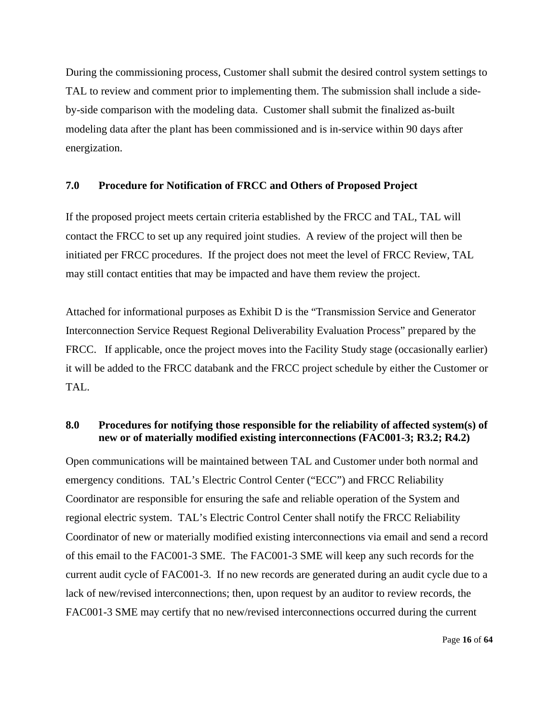During the commissioning process, Customer shall submit the desired control system settings to TAL to review and comment prior to implementing them. The submission shall include a sideby-side comparison with the modeling data. Customer shall submit the finalized as-built modeling data after the plant has been commissioned and is in-service within 90 days after energization.

#### <span id="page-15-0"></span>**7.0 Procedure for Notification of FRCC and Others of Proposed Project**

If the proposed project meets certain criteria established by the FRCC and TAL, TAL will contact the FRCC to set up any required joint studies. A review of the project will then be initiated per FRCC procedures. If the project does not meet the level of FRCC Review, TAL may still contact entities that may be impacted and have them review the project.

Attached for informational purposes as Exhibit D is the "Transmission Service and Generator Interconnection Service Request Regional Deliverability Evaluation Process" prepared by the FRCC. If applicable, once the project moves into the Facility Study stage (occasionally earlier) it will be added to the FRCC databank and the FRCC project schedule by either the Customer or TAL.

#### <span id="page-15-1"></span>**8.0 Procedures for notifying those responsible for the reliability of affected system(s) of new or of materially modified existing interconnections (FAC001-3; R3.2; R4.2)**

Open communications will be maintained between TAL and Customer under both normal and emergency conditions. TAL's Electric Control Center ("ECC") and FRCC Reliability Coordinator are responsible for ensuring the safe and reliable operation of the System and regional electric system. TAL's Electric Control Center shall notify the FRCC Reliability Coordinator of new or materially modified existing interconnections via email and send a record of this email to the FAC001-3 SME. The FAC001-3 SME will keep any such records for the current audit cycle of FAC001-3. If no new records are generated during an audit cycle due to a lack of new/revised interconnections; then, upon request by an auditor to review records, the FAC001-3 SME may certify that no new/revised interconnections occurred during the current

Page **16** of **64**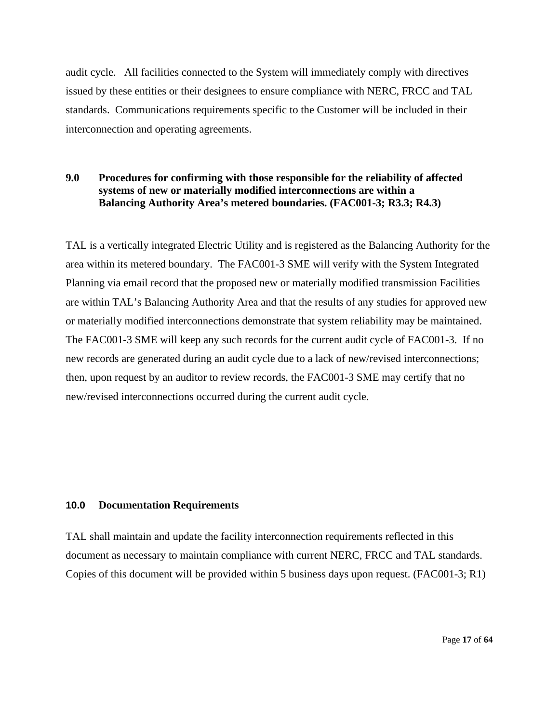audit cycle. All facilities connected to the System will immediately comply with directives issued by these entities or their designees to ensure compliance with NERC, FRCC and TAL standards. Communications requirements specific to the Customer will be included in their interconnection and operating agreements.

#### **9.0 Procedures for confirming with those responsible for the reliability of affected systems of new or materially modified interconnections are within a Balancing Authority Area's metered boundaries. (FAC001-3; R3.3; R4.3)**

TAL is a vertically integrated Electric Utility and is registered as the Balancing Authority for the area within its metered boundary. The FAC001-3 SME will verify with the System Integrated Planning via email record that the proposed new or materially modified transmission Facilities are within TAL's Balancing Authority Area and that the results of any studies for approved new or materially modified interconnections demonstrate that system reliability may be maintained. The FAC001-3 SME will keep any such records for the current audit cycle of FAC001-3. If no new records are generated during an audit cycle due to a lack of new/revised interconnections; then, upon request by an auditor to review records, the FAC001-3 SME may certify that no new/revised interconnections occurred during the current audit cycle.

#### <span id="page-16-0"></span>**10.0 Documentation Requirements**

TAL shall maintain and update the facility interconnection requirements reflected in this document as necessary to maintain compliance with current NERC, FRCC and TAL standards. Copies of this document will be provided within 5 business days upon request. (FAC001-3; R1)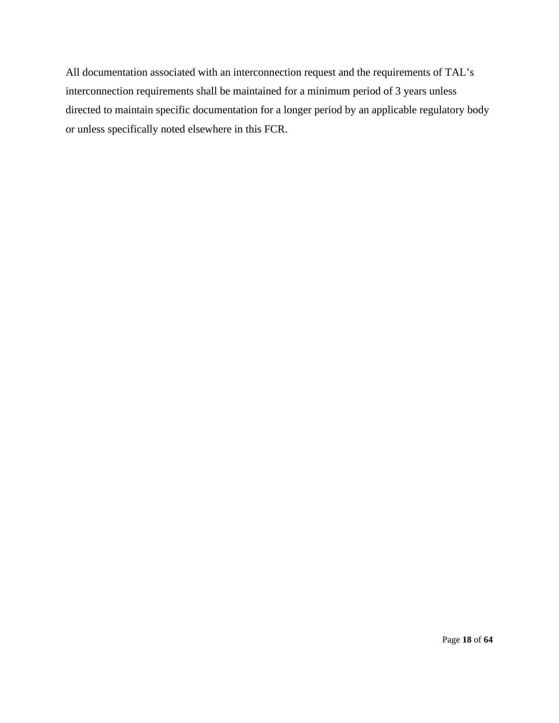All documentation associated with an interconnection request and the requirements of TAL's interconnection requirements shall be maintained for a minimum period of 3 years unless directed to maintain specific documentation for a longer period by an applicable regulatory body or unless specifically noted elsewhere in this FCR.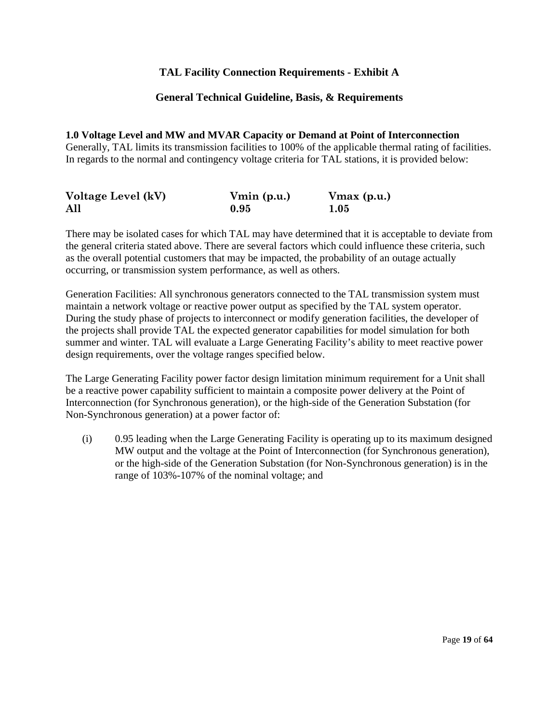#### **TAL Facility Connection Requirements - Exhibit A**

#### **General Technical Guideline, Basis, & Requirements**

**1.0 Voltage Level and MW and MVAR Capacity or Demand at Point of Interconnection**  Generally, TAL limits its transmission facilities to 100% of the applicable thermal rating of facilities. In regards to the normal and contingency voltage criteria for TAL stations, it is provided below:

| Voltage Level (kV) | $V_{\text{min}}$ (p.u.) | $V$ max $(p.u.)$ |
|--------------------|-------------------------|------------------|
| All                | 0.95                    | 1.05             |

There may be isolated cases for which TAL may have determined that it is acceptable to deviate from the general criteria stated above. There are several factors which could influence these criteria, such as the overall potential customers that may be impacted, the probability of an outage actually occurring, or transmission system performance, as well as others.

Generation Facilities: All synchronous generators connected to the TAL transmission system must maintain a network voltage or reactive power output as specified by the TAL system operator. During the study phase of projects to interconnect or modify generation facilities, the developer of the projects shall provide TAL the expected generator capabilities for model simulation for both summer and winter. TAL will evaluate a Large Generating Facility's ability to meet reactive power design requirements, over the voltage ranges specified below.

The Large Generating Facility power factor design limitation minimum requirement for a Unit shall be a reactive power capability sufficient to maintain a composite power delivery at the Point of Interconnection (for Synchronous generation), or the high-side of the Generation Substation (for Non-Synchronous generation) at a power factor of:

(i) 0.95 leading when the Large Generating Facility is operating up to its maximum designed MW output and the voltage at the Point of Interconnection (for Synchronous generation), or the high-side of the Generation Substation (for Non-Synchronous generation) is in the range of 103%-107% of the nominal voltage; and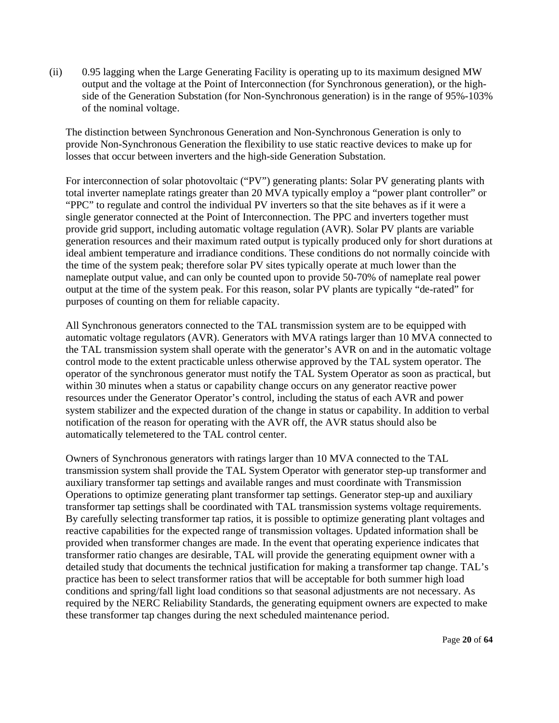(ii) 0.95 lagging when the Large Generating Facility is operating up to its maximum designed MW output and the voltage at the Point of Interconnection (for Synchronous generation), or the highside of the Generation Substation (for Non-Synchronous generation) is in the range of 95%-103% of the nominal voltage.

The distinction between Synchronous Generation and Non-Synchronous Generation is only to provide Non-Synchronous Generation the flexibility to use static reactive devices to make up for losses that occur between inverters and the high-side Generation Substation.

For interconnection of solar photovoltaic ("PV") generating plants: Solar PV generating plants with total inverter nameplate ratings greater than 20 MVA typically employ a "power plant controller" or "PPC" to regulate and control the individual PV inverters so that the site behaves as if it were a single generator connected at the Point of Interconnection. The PPC and inverters together must provide grid support, including automatic voltage regulation (AVR). Solar PV plants are variable generation resources and their maximum rated output is typically produced only for short durations at ideal ambient temperature and irradiance conditions. These conditions do not normally coincide with the time of the system peak; therefore solar PV sites typically operate at much lower than the nameplate output value, and can only be counted upon to provide 50-70% of nameplate real power output at the time of the system peak. For this reason, solar PV plants are typically "de-rated" for purposes of counting on them for reliable capacity.

All Synchronous generators connected to the TAL transmission system are to be equipped with automatic voltage regulators (AVR). Generators with MVA ratings larger than 10 MVA connected to the TAL transmission system shall operate with the generator's AVR on and in the automatic voltage control mode to the extent practicable unless otherwise approved by the TAL system operator. The operator of the synchronous generator must notify the TAL System Operator as soon as practical, but within 30 minutes when a status or capability change occurs on any generator reactive power resources under the Generator Operator's control, including the status of each AVR and power system stabilizer and the expected duration of the change in status or capability. In addition to verbal notification of the reason for operating with the AVR off, the AVR status should also be automatically telemetered to the TAL control center.

Owners of Synchronous generators with ratings larger than 10 MVA connected to the TAL transmission system shall provide the TAL System Operator with generator step-up transformer and auxiliary transformer tap settings and available ranges and must coordinate with Transmission Operations to optimize generating plant transformer tap settings. Generator step-up and auxiliary transformer tap settings shall be coordinated with TAL transmission systems voltage requirements. By carefully selecting transformer tap ratios, it is possible to optimize generating plant voltages and reactive capabilities for the expected range of transmission voltages. Updated information shall be provided when transformer changes are made. In the event that operating experience indicates that transformer ratio changes are desirable, TAL will provide the generating equipment owner with a detailed study that documents the technical justification for making a transformer tap change. TAL's practice has been to select transformer ratios that will be acceptable for both summer high load conditions and spring/fall light load conditions so that seasonal adjustments are not necessary. As required by the NERC Reliability Standards, the generating equipment owners are expected to make these transformer tap changes during the next scheduled maintenance period.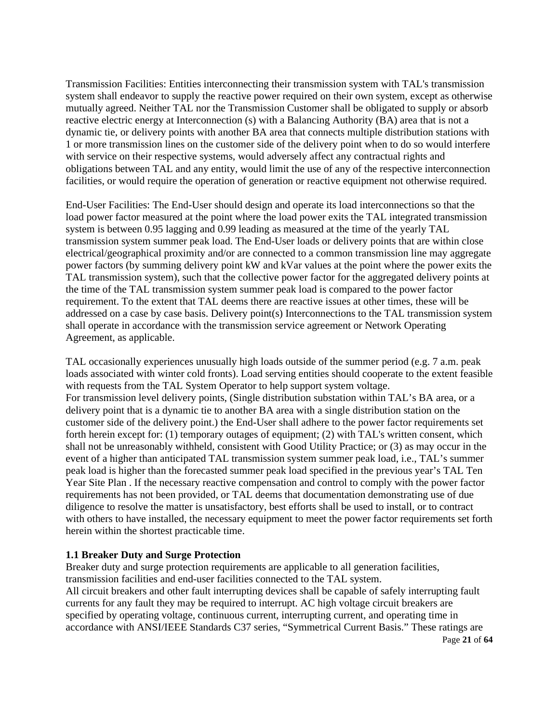Transmission Facilities: Entities interconnecting their transmission system with TAL's transmission system shall endeavor to supply the reactive power required on their own system, except as otherwise mutually agreed. Neither TAL nor the Transmission Customer shall be obligated to supply or absorb reactive electric energy at Interconnection (s) with a Balancing Authority (BA) area that is not a dynamic tie, or delivery points with another BA area that connects multiple distribution stations with 1 or more transmission lines on the customer side of the delivery point when to do so would interfere with service on their respective systems, would adversely affect any contractual rights and obligations between TAL and any entity, would limit the use of any of the respective interconnection facilities, or would require the operation of generation or reactive equipment not otherwise required.

End-User Facilities: The End-User should design and operate its load interconnections so that the load power factor measured at the point where the load power exits the TAL integrated transmission system is between 0.95 lagging and 0.99 leading as measured at the time of the yearly TAL transmission system summer peak load. The End-User loads or delivery points that are within close electrical/geographical proximity and/or are connected to a common transmission line may aggregate power factors (by summing delivery point kW and kVar values at the point where the power exits the TAL transmission system), such that the collective power factor for the aggregated delivery points at the time of the TAL transmission system summer peak load is compared to the power factor requirement. To the extent that TAL deems there are reactive issues at other times, these will be addressed on a case by case basis. Delivery point(s) Interconnections to the TAL transmission system shall operate in accordance with the transmission service agreement or Network Operating Agreement, as applicable.

TAL occasionally experiences unusually high loads outside of the summer period (e.g. 7 a.m. peak loads associated with winter cold fronts). Load serving entities should cooperate to the extent feasible with requests from the TAL System Operator to help support system voltage. For transmission level delivery points, (Single distribution substation within TAL's BA area, or a delivery point that is a dynamic tie to another BA area with a single distribution station on the customer side of the delivery point.) the End-User shall adhere to the power factor requirements set forth herein except for: (1) temporary outages of equipment; (2) with TAL's written consent, which shall not be unreasonably withheld, consistent with Good Utility Practice; or (3) as may occur in the event of a higher than anticipated TAL transmission system summer peak load, i.e., TAL's summer peak load is higher than the forecasted summer peak load specified in the previous year's TAL Ten Year Site Plan . If the necessary reactive compensation and control to comply with the power factor requirements has not been provided, or TAL deems that documentation demonstrating use of due diligence to resolve the matter is unsatisfactory, best efforts shall be used to install, or to contract with others to have installed, the necessary equipment to meet the power factor requirements set forth herein within the shortest practicable time.

#### **1.1 Breaker Duty and Surge Protection**

Breaker duty and surge protection requirements are applicable to all generation facilities, transmission facilities and end-user facilities connected to the TAL system.

All circuit breakers and other fault interrupting devices shall be capable of safely interrupting fault currents for any fault they may be required to interrupt. AC high voltage circuit breakers are specified by operating voltage, continuous current, interrupting current, and operating time in accordance with ANSI/IEEE Standards C37 series, "Symmetrical Current Basis." These ratings are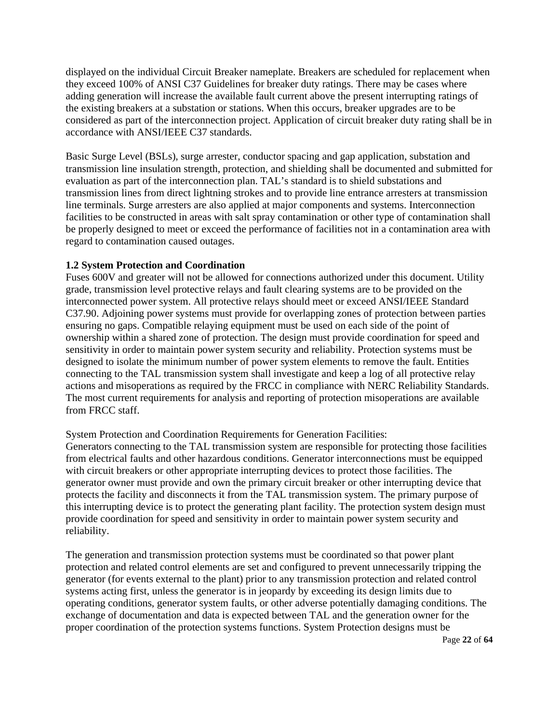displayed on the individual Circuit Breaker nameplate. Breakers are scheduled for replacement when they exceed 100% of ANSI C37 Guidelines for breaker duty ratings. There may be cases where adding generation will increase the available fault current above the present interrupting ratings of the existing breakers at a substation or stations. When this occurs, breaker upgrades are to be considered as part of the interconnection project. Application of circuit breaker duty rating shall be in accordance with ANSI/IEEE C37 standards.

Basic Surge Level (BSLs), surge arrester, conductor spacing and gap application, substation and transmission line insulation strength, protection, and shielding shall be documented and submitted for evaluation as part of the interconnection plan. TAL's standard is to shield substations and transmission lines from direct lightning strokes and to provide line entrance arresters at transmission line terminals. Surge arresters are also applied at major components and systems. Interconnection facilities to be constructed in areas with salt spray contamination or other type of contamination shall be properly designed to meet or exceed the performance of facilities not in a contamination area with regard to contamination caused outages.

#### **1.2 System Protection and Coordination**

Fuses 600V and greater will not be allowed for connections authorized under this document. Utility grade, transmission level protective relays and fault clearing systems are to be provided on the interconnected power system. All protective relays should meet or exceed ANSI/IEEE Standard C37.90. Adjoining power systems must provide for overlapping zones of protection between parties ensuring no gaps. Compatible relaying equipment must be used on each side of the point of ownership within a shared zone of protection. The design must provide coordination for speed and sensitivity in order to maintain power system security and reliability. Protection systems must be designed to isolate the minimum number of power system elements to remove the fault. Entities connecting to the TAL transmission system shall investigate and keep a log of all protective relay actions and misoperations as required by the FRCC in compliance with NERC Reliability Standards. The most current requirements for analysis and reporting of protection misoperations are available from FRCC staff.

System Protection and Coordination Requirements for Generation Facilities:

Generators connecting to the TAL transmission system are responsible for protecting those facilities from electrical faults and other hazardous conditions. Generator interconnections must be equipped with circuit breakers or other appropriate interrupting devices to protect those facilities. The generator owner must provide and own the primary circuit breaker or other interrupting device that protects the facility and disconnects it from the TAL transmission system. The primary purpose of this interrupting device is to protect the generating plant facility. The protection system design must provide coordination for speed and sensitivity in order to maintain power system security and reliability.

The generation and transmission protection systems must be coordinated so that power plant protection and related control elements are set and configured to prevent unnecessarily tripping the generator (for events external to the plant) prior to any transmission protection and related control systems acting first, unless the generator is in jeopardy by exceeding its design limits due to operating conditions, generator system faults, or other adverse potentially damaging conditions. The exchange of documentation and data is expected between TAL and the generation owner for the proper coordination of the protection systems functions. System Protection designs must be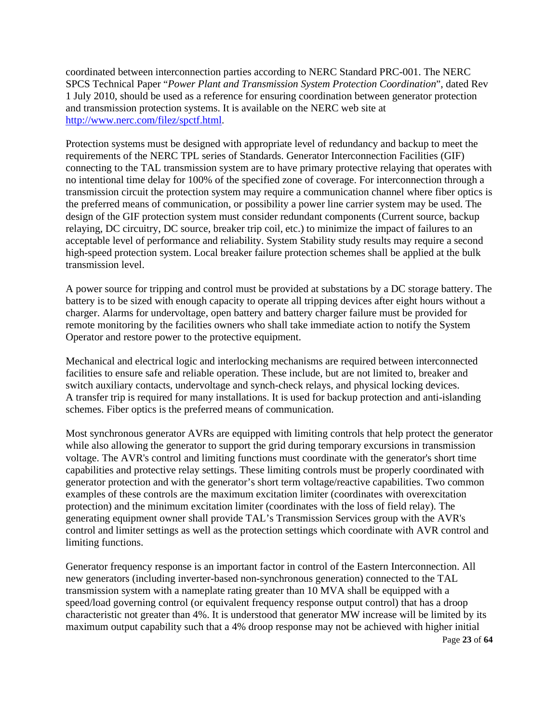coordinated between interconnection parties according to NERC Standard PRC-001. The NERC SPCS Technical Paper "*Power Plant and Transmission System Protection Coordination*", dated Rev 1 July 2010, should be used as a reference for ensuring coordination between generator protection and transmission protection systems. It is available on the NERC web site at [http://www.nerc.com/filez/spctf.html.](http://www.nerc.com/filez/spctf.html)

Protection systems must be designed with appropriate level of redundancy and backup to meet the requirements of the NERC TPL series of Standards. Generator Interconnection Facilities (GIF) connecting to the TAL transmission system are to have primary protective relaying that operates with no intentional time delay for 100% of the specified zone of coverage. For interconnection through a transmission circuit the protection system may require a communication channel where fiber optics is the preferred means of communication, or possibility a power line carrier system may be used. The design of the GIF protection system must consider redundant components (Current source, backup relaying, DC circuitry, DC source, breaker trip coil, etc.) to minimize the impact of failures to an acceptable level of performance and reliability. System Stability study results may require a second high-speed protection system. Local breaker failure protection schemes shall be applied at the bulk transmission level.

A power source for tripping and control must be provided at substations by a DC storage battery. The battery is to be sized with enough capacity to operate all tripping devices after eight hours without a charger. Alarms for undervoltage, open battery and battery charger failure must be provided for remote monitoring by the facilities owners who shall take immediate action to notify the System Operator and restore power to the protective equipment.

Mechanical and electrical logic and interlocking mechanisms are required between interconnected facilities to ensure safe and reliable operation. These include, but are not limited to, breaker and switch auxiliary contacts, undervoltage and synch-check relays, and physical locking devices. A transfer trip is required for many installations. It is used for backup protection and anti-islanding schemes. Fiber optics is the preferred means of communication.

Most synchronous generator AVRs are equipped with limiting controls that help protect the generator while also allowing the generator to support the grid during temporary excursions in transmission voltage. The AVR's control and limiting functions must coordinate with the generator's short time capabilities and protective relay settings. These limiting controls must be properly coordinated with generator protection and with the generator's short term voltage/reactive capabilities. Two common examples of these controls are the maximum excitation limiter (coordinates with overexcitation protection) and the minimum excitation limiter (coordinates with the loss of field relay). The generating equipment owner shall provide TAL's Transmission Services group with the AVR's control and limiter settings as well as the protection settings which coordinate with AVR control and limiting functions.

Page **23** of **64** Generator frequency response is an important factor in control of the Eastern Interconnection. All new generators (including inverter-based non-synchronous generation) connected to the TAL transmission system with a nameplate rating greater than 10 MVA shall be equipped with a speed/load governing control (or equivalent frequency response output control) that has a droop characteristic not greater than 4%. It is understood that generator MW increase will be limited by its maximum output capability such that a 4% droop response may not be achieved with higher initial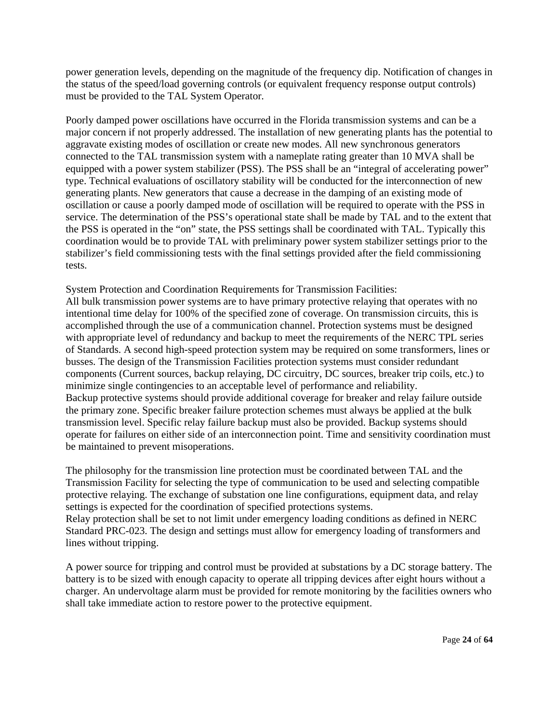power generation levels, depending on the magnitude of the frequency dip. Notification of changes in the status of the speed/load governing controls (or equivalent frequency response output controls) must be provided to the TAL System Operator.

Poorly damped power oscillations have occurred in the Florida transmission systems and can be a major concern if not properly addressed. The installation of new generating plants has the potential to aggravate existing modes of oscillation or create new modes. All new synchronous generators connected to the TAL transmission system with a nameplate rating greater than 10 MVA shall be equipped with a power system stabilizer (PSS). The PSS shall be an "integral of accelerating power" type. Technical evaluations of oscillatory stability will be conducted for the interconnection of new generating plants. New generators that cause a decrease in the damping of an existing mode of oscillation or cause a poorly damped mode of oscillation will be required to operate with the PSS in service. The determination of the PSS's operational state shall be made by TAL and to the extent that the PSS is operated in the "on" state, the PSS settings shall be coordinated with TAL. Typically this coordination would be to provide TAL with preliminary power system stabilizer settings prior to the stabilizer's field commissioning tests with the final settings provided after the field commissioning tests.

System Protection and Coordination Requirements for Transmission Facilities: All bulk transmission power systems are to have primary protective relaying that operates with no intentional time delay for 100% of the specified zone of coverage. On transmission circuits, this is accomplished through the use of a communication channel. Protection systems must be designed with appropriate level of redundancy and backup to meet the requirements of the NERC TPL series of Standards. A second high-speed protection system may be required on some transformers, lines or busses. The design of the Transmission Facilities protection systems must consider redundant components (Current sources, backup relaying, DC circuitry, DC sources, breaker trip coils, etc.) to minimize single contingencies to an acceptable level of performance and reliability. Backup protective systems should provide additional coverage for breaker and relay failure outside the primary zone. Specific breaker failure protection schemes must always be applied at the bulk transmission level. Specific relay failure backup must also be provided. Backup systems should operate for failures on either side of an interconnection point. Time and sensitivity coordination must be maintained to prevent misoperations.

The philosophy for the transmission line protection must be coordinated between TAL and the Transmission Facility for selecting the type of communication to be used and selecting compatible protective relaying. The exchange of substation one line configurations, equipment data, and relay settings is expected for the coordination of specified protections systems. Relay protection shall be set to not limit under emergency loading conditions as defined in NERC Standard PRC-023. The design and settings must allow for emergency loading of transformers and lines without tripping.

A power source for tripping and control must be provided at substations by a DC storage battery. The battery is to be sized with enough capacity to operate all tripping devices after eight hours without a charger. An undervoltage alarm must be provided for remote monitoring by the facilities owners who shall take immediate action to restore power to the protective equipment.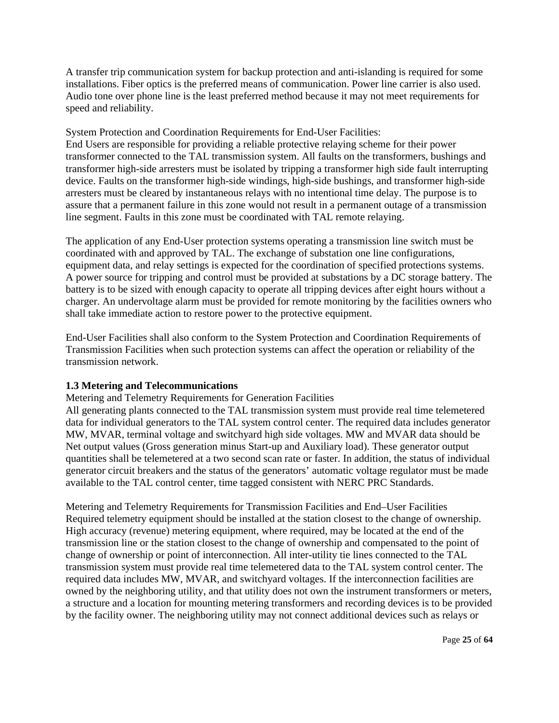A transfer trip communication system for backup protection and anti-islanding is required for some installations. Fiber optics is the preferred means of communication. Power line carrier is also used. Audio tone over phone line is the least preferred method because it may not meet requirements for speed and reliability.

#### System Protection and Coordination Requirements for End-User Facilities:

End Users are responsible for providing a reliable protective relaying scheme for their power transformer connected to the TAL transmission system. All faults on the transformers, bushings and transformer high-side arresters must be isolated by tripping a transformer high side fault interrupting device. Faults on the transformer high-side windings, high-side bushings, and transformer high-side arresters must be cleared by instantaneous relays with no intentional time delay. The purpose is to assure that a permanent failure in this zone would not result in a permanent outage of a transmission line segment. Faults in this zone must be coordinated with TAL remote relaying.

The application of any End-User protection systems operating a transmission line switch must be coordinated with and approved by TAL. The exchange of substation one line configurations, equipment data, and relay settings is expected for the coordination of specified protections systems. A power source for tripping and control must be provided at substations by a DC storage battery. The battery is to be sized with enough capacity to operate all tripping devices after eight hours without a charger. An undervoltage alarm must be provided for remote monitoring by the facilities owners who shall take immediate action to restore power to the protective equipment.

End-User Facilities shall also conform to the System Protection and Coordination Requirements of Transmission Facilities when such protection systems can affect the operation or reliability of the transmission network.

#### **1.3 Metering and Telecommunications**

Metering and Telemetry Requirements for Generation Facilities

All generating plants connected to the TAL transmission system must provide real time telemetered data for individual generators to the TAL system control center. The required data includes generator MW, MVAR, terminal voltage and switchyard high side voltages. MW and MVAR data should be Net output values (Gross generation minus Start-up and Auxiliary load). These generator output quantities shall be telemetered at a two second scan rate or faster. In addition, the status of individual generator circuit breakers and the status of the generators' automatic voltage regulator must be made available to the TAL control center, time tagged consistent with NERC PRC Standards.

Metering and Telemetry Requirements for Transmission Facilities and End–User Facilities Required telemetry equipment should be installed at the station closest to the change of ownership. High accuracy (revenue) metering equipment, where required, may be located at the end of the transmission line or the station closest to the change of ownership and compensated to the point of change of ownership or point of interconnection. All inter-utility tie lines connected to the TAL transmission system must provide real time telemetered data to the TAL system control center. The required data includes MW, MVAR, and switchyard voltages. If the interconnection facilities are owned by the neighboring utility, and that utility does not own the instrument transformers or meters, a structure and a location for mounting metering transformers and recording devices is to be provided by the facility owner. The neighboring utility may not connect additional devices such as relays or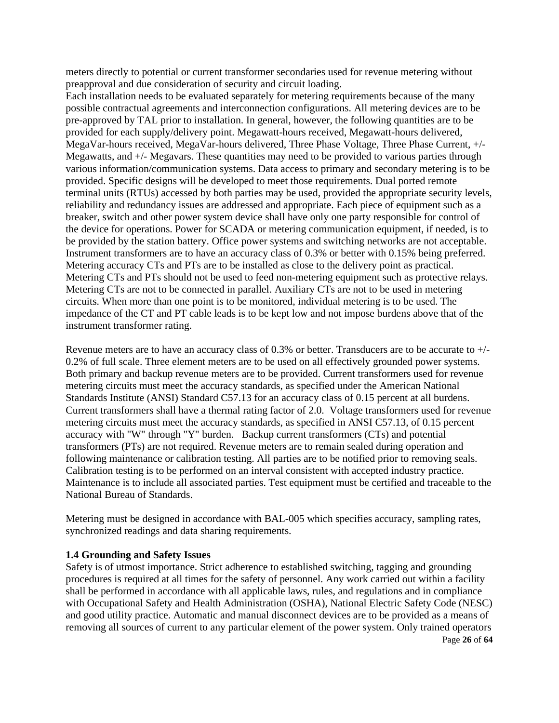meters directly to potential or current transformer secondaries used for revenue metering without preapproval and due consideration of security and circuit loading.

Each installation needs to be evaluated separately for metering requirements because of the many possible contractual agreements and interconnection configurations. All metering devices are to be pre-approved by TAL prior to installation. In general, however, the following quantities are to be provided for each supply/delivery point. Megawatt-hours received, Megawatt-hours delivered, MegaVar-hours received, MegaVar-hours delivered, Three Phase Voltage, Three Phase Current, +/- Megawatts, and +/- Megavars. These quantities may need to be provided to various parties through various information/communication systems. Data access to primary and secondary metering is to be provided. Specific designs will be developed to meet those requirements. Dual ported remote terminal units (RTUs) accessed by both parties may be used, provided the appropriate security levels, reliability and redundancy issues are addressed and appropriate. Each piece of equipment such as a breaker, switch and other power system device shall have only one party responsible for control of the device for operations. Power for SCADA or metering communication equipment, if needed, is to be provided by the station battery. Office power systems and switching networks are not acceptable. Instrument transformers are to have an accuracy class of 0.3% or better with 0.15% being preferred. Metering accuracy CTs and PTs are to be installed as close to the delivery point as practical. Metering CTs and PTs should not be used to feed non-metering equipment such as protective relays. Metering CTs are not to be connected in parallel. Auxiliary CTs are not to be used in metering circuits. When more than one point is to be monitored, individual metering is to be used. The impedance of the CT and PT cable leads is to be kept low and not impose burdens above that of the instrument transformer rating.

Revenue meters are to have an accuracy class of 0.3% or better. Transducers are to be accurate to +/- 0.2% of full scale. Three element meters are to be used on all effectively grounded power systems. Both primary and backup revenue meters are to be provided. Current transformers used for revenue metering circuits must meet the accuracy standards, as specified under the American National Standards Institute (ANSI) Standard C57.13 for an accuracy class of 0.15 percent at all burdens. Current transformers shall have a thermal rating factor of 2.0. Voltage transformers used for revenue metering circuits must meet the accuracy standards, as specified in ANSI C57.13, of 0.15 percent accuracy with "W" through "Y" burden. Backup current transformers (CTs) and potential transformers (PTs) are not required. Revenue meters are to remain sealed during operation and following maintenance or calibration testing. All parties are to be notified prior to removing seals. Calibration testing is to be performed on an interval consistent with accepted industry practice. Maintenance is to include all associated parties. Test equipment must be certified and traceable to the National Bureau of Standards.

Metering must be designed in accordance with BAL-005 which specifies accuracy, sampling rates, synchronized readings and data sharing requirements.

#### **1.4 Grounding and Safety Issues**

Page **26** of **64** Safety is of utmost importance. Strict adherence to established switching, tagging and grounding procedures is required at all times for the safety of personnel. Any work carried out within a facility shall be performed in accordance with all applicable laws, rules, and regulations and in compliance with Occupational Safety and Health Administration (OSHA), National Electric Safety Code (NESC) and good utility practice. Automatic and manual disconnect devices are to be provided as a means of removing all sources of current to any particular element of the power system. Only trained operators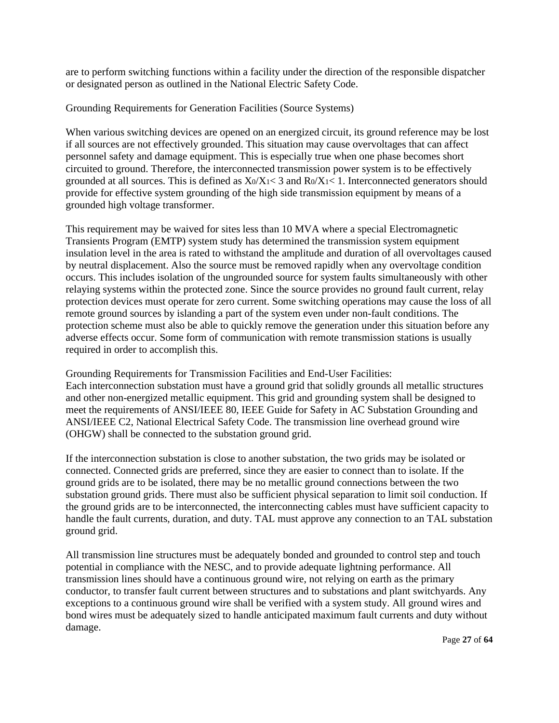are to perform switching functions within a facility under the direction of the responsible dispatcher or designated person as outlined in the National Electric Safety Code.

Grounding Requirements for Generation Facilities (Source Systems)

When various switching devices are opened on an energized circuit, its ground reference may be lost if all sources are not effectively grounded. This situation may cause overvoltages that can affect personnel safety and damage equipment. This is especially true when one phase becomes short circuited to ground. Therefore, the interconnected transmission power system is to be effectively grounded at all sources. This is defined as  $X_0/X_1 < 3$  and  $R_0/X_1 < 1$ . Interconnected generators should provide for effective system grounding of the high side transmission equipment by means of a grounded high voltage transformer.

This requirement may be waived for sites less than 10 MVA where a special Electromagnetic Transients Program (EMTP) system study has determined the transmission system equipment insulation level in the area is rated to withstand the amplitude and duration of all overvoltages caused by neutral displacement. Also the source must be removed rapidly when any overvoltage condition occurs. This includes isolation of the ungrounded source for system faults simultaneously with other relaying systems within the protected zone. Since the source provides no ground fault current, relay protection devices must operate for zero current. Some switching operations may cause the loss of all remote ground sources by islanding a part of the system even under non-fault conditions. The protection scheme must also be able to quickly remove the generation under this situation before any adverse effects occur. Some form of communication with remote transmission stations is usually required in order to accomplish this.

Grounding Requirements for Transmission Facilities and End-User Facilities: Each interconnection substation must have a ground grid that solidly grounds all metallic structures and other non-energized metallic equipment. This grid and grounding system shall be designed to meet the requirements of ANSI/IEEE 80, IEEE Guide for Safety in AC Substation Grounding and ANSI/IEEE C2, National Electrical Safety Code. The transmission line overhead ground wire (OHGW) shall be connected to the substation ground grid.

If the interconnection substation is close to another substation, the two grids may be isolated or connected. Connected grids are preferred, since they are easier to connect than to isolate. If the ground grids are to be isolated, there may be no metallic ground connections between the two substation ground grids. There must also be sufficient physical separation to limit soil conduction. If the ground grids are to be interconnected, the interconnecting cables must have sufficient capacity to handle the fault currents, duration, and duty. TAL must approve any connection to an TAL substation ground grid.

All transmission line structures must be adequately bonded and grounded to control step and touch potential in compliance with the NESC, and to provide adequate lightning performance. All transmission lines should have a continuous ground wire, not relying on earth as the primary conductor, to transfer fault current between structures and to substations and plant switchyards. Any exceptions to a continuous ground wire shall be verified with a system study. All ground wires and bond wires must be adequately sized to handle anticipated maximum fault currents and duty without damage.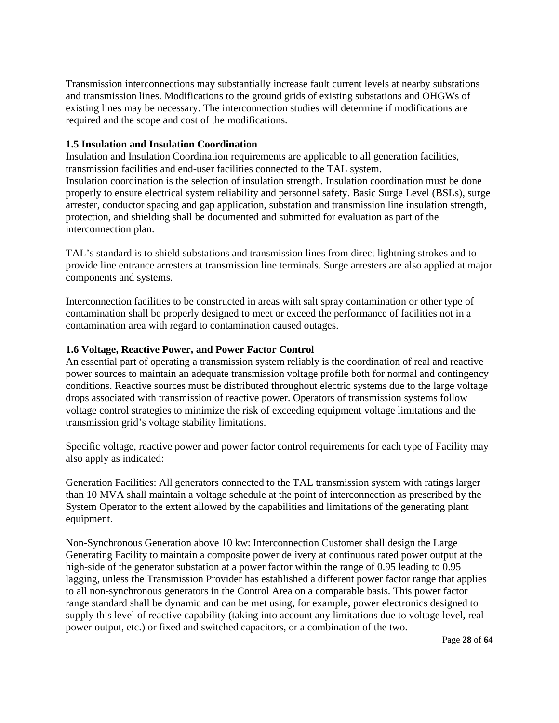Transmission interconnections may substantially increase fault current levels at nearby substations and transmission lines. Modifications to the ground grids of existing substations and OHGWs of existing lines may be necessary. The interconnection studies will determine if modifications are required and the scope and cost of the modifications.

#### **1.5 Insulation and Insulation Coordination**

Insulation and Insulation Coordination requirements are applicable to all generation facilities, transmission facilities and end-user facilities connected to the TAL system. Insulation coordination is the selection of insulation strength. Insulation coordination must be done properly to ensure electrical system reliability and personnel safety. Basic Surge Level (BSLs), surge arrester, conductor spacing and gap application, substation and transmission line insulation strength, protection, and shielding shall be documented and submitted for evaluation as part of the interconnection plan.

TAL's standard is to shield substations and transmission lines from direct lightning strokes and to provide line entrance arresters at transmission line terminals. Surge arresters are also applied at major components and systems.

Interconnection facilities to be constructed in areas with salt spray contamination or other type of contamination shall be properly designed to meet or exceed the performance of facilities not in a contamination area with regard to contamination caused outages.

#### **1.6 Voltage, Reactive Power, and Power Factor Control**

An essential part of operating a transmission system reliably is the coordination of real and reactive power sources to maintain an adequate transmission voltage profile both for normal and contingency conditions. Reactive sources must be distributed throughout electric systems due to the large voltage drops associated with transmission of reactive power. Operators of transmission systems follow voltage control strategies to minimize the risk of exceeding equipment voltage limitations and the transmission grid's voltage stability limitations.

Specific voltage, reactive power and power factor control requirements for each type of Facility may also apply as indicated:

Generation Facilities: All generators connected to the TAL transmission system with ratings larger than 10 MVA shall maintain a voltage schedule at the point of interconnection as prescribed by the System Operator to the extent allowed by the capabilities and limitations of the generating plant equipment.

Non-Synchronous Generation above 10 kw: Interconnection Customer shall design the Large Generating Facility to maintain a composite power delivery at continuous rated power output at the high-side of the generator substation at a power factor within the range of 0.95 leading to 0.95 lagging, unless the Transmission Provider has established a different power factor range that applies to all non-synchronous generators in the Control Area on a comparable basis. This power factor range standard shall be dynamic and can be met using, for example, power electronics designed to supply this level of reactive capability (taking into account any limitations due to voltage level, real power output, etc.) or fixed and switched capacitors, or a combination of the two.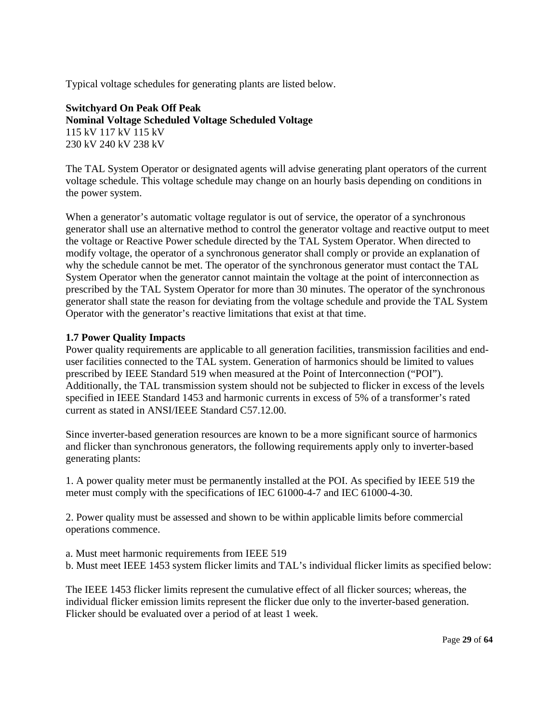Typical voltage schedules for generating plants are listed below.

**Switchyard On Peak Off Peak Nominal Voltage Scheduled Voltage Scheduled Voltage**  115 kV 117 kV 115 kV 230 kV 240 kV 238 kV

The TAL System Operator or designated agents will advise generating plant operators of the current voltage schedule. This voltage schedule may change on an hourly basis depending on conditions in the power system.

When a generator's automatic voltage regulator is out of service, the operator of a synchronous generator shall use an alternative method to control the generator voltage and reactive output to meet the voltage or Reactive Power schedule directed by the TAL System Operator. When directed to modify voltage, the operator of a synchronous generator shall comply or provide an explanation of why the schedule cannot be met. The operator of the synchronous generator must contact the TAL System Operator when the generator cannot maintain the voltage at the point of interconnection as prescribed by the TAL System Operator for more than 30 minutes. The operator of the synchronous generator shall state the reason for deviating from the voltage schedule and provide the TAL System Operator with the generator's reactive limitations that exist at that time.

#### **1.7 Power Quality Impacts**

Power quality requirements are applicable to all generation facilities, transmission facilities and enduser facilities connected to the TAL system. Generation of harmonics should be limited to values prescribed by IEEE Standard 519 when measured at the Point of Interconnection ("POI"). Additionally, the TAL transmission system should not be subjected to flicker in excess of the levels specified in IEEE Standard 1453 and harmonic currents in excess of 5% of a transformer's rated current as stated in ANSI/IEEE Standard C57.12.00.

Since inverter-based generation resources are known to be a more significant source of harmonics and flicker than synchronous generators, the following requirements apply only to inverter-based generating plants:

1. A power quality meter must be permanently installed at the POI. As specified by IEEE 519 the meter must comply with the specifications of IEC 61000-4-7 and IEC 61000-4-30.

2. Power quality must be assessed and shown to be within applicable limits before commercial operations commence.

a. Must meet harmonic requirements from IEEE 519

b. Must meet IEEE 1453 system flicker limits and TAL's individual flicker limits as specified below:

The IEEE 1453 flicker limits represent the cumulative effect of all flicker sources; whereas, the individual flicker emission limits represent the flicker due only to the inverter-based generation. Flicker should be evaluated over a period of at least 1 week.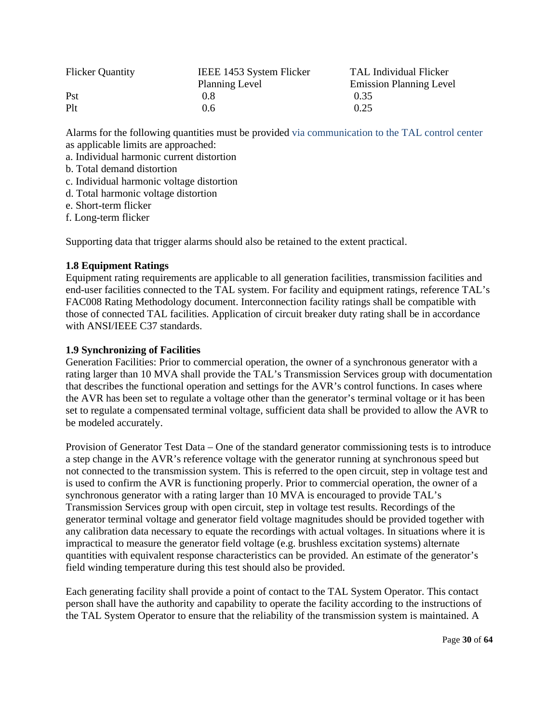| <b>Flicker Quantity</b> | IEEE 1453 System Flicker | TAL Individual Flicker         |
|-------------------------|--------------------------|--------------------------------|
|                         | Planning Level           | <b>Emission Planning Level</b> |
| Pst                     | 0.8                      | 0.35                           |
| Plt                     | 0.6                      | 0.25                           |

Alarms for the following quantities must be provided via communication to the TAL control center as applicable limits are approached:

a. Individual harmonic current distortion

b. Total demand distortion

c. Individual harmonic voltage distortion

d. Total harmonic voltage distortion

e. Short-term flicker

f. Long-term flicker

Supporting data that trigger alarms should also be retained to the extent practical.

#### **1.8 Equipment Ratings**

Equipment rating requirements are applicable to all generation facilities, transmission facilities and end-user facilities connected to the TAL system. For facility and equipment ratings, reference TAL's FAC008 Rating Methodology document. Interconnection facility ratings shall be compatible with those of connected TAL facilities. Application of circuit breaker duty rating shall be in accordance with ANSI/IEEE C37 standards.

#### **1.9 Synchronizing of Facilities**

Generation Facilities: Prior to commercial operation, the owner of a synchronous generator with a rating larger than 10 MVA shall provide the TAL's Transmission Services group with documentation that describes the functional operation and settings for the AVR's control functions. In cases where the AVR has been set to regulate a voltage other than the generator's terminal voltage or it has been set to regulate a compensated terminal voltage, sufficient data shall be provided to allow the AVR to be modeled accurately.

Provision of Generator Test Data – One of the standard generator commissioning tests is to introduce a step change in the AVR's reference voltage with the generator running at synchronous speed but not connected to the transmission system. This is referred to the open circuit, step in voltage test and is used to confirm the AVR is functioning properly. Prior to commercial operation, the owner of a synchronous generator with a rating larger than 10 MVA is encouraged to provide TAL's Transmission Services group with open circuit, step in voltage test results. Recordings of the generator terminal voltage and generator field voltage magnitudes should be provided together with any calibration data necessary to equate the recordings with actual voltages. In situations where it is impractical to measure the generator field voltage (e.g. brushless excitation systems) alternate quantities with equivalent response characteristics can be provided. An estimate of the generator's field winding temperature during this test should also be provided.

Each generating facility shall provide a point of contact to the TAL System Operator. This contact person shall have the authority and capability to operate the facility according to the instructions of the TAL System Operator to ensure that the reliability of the transmission system is maintained. A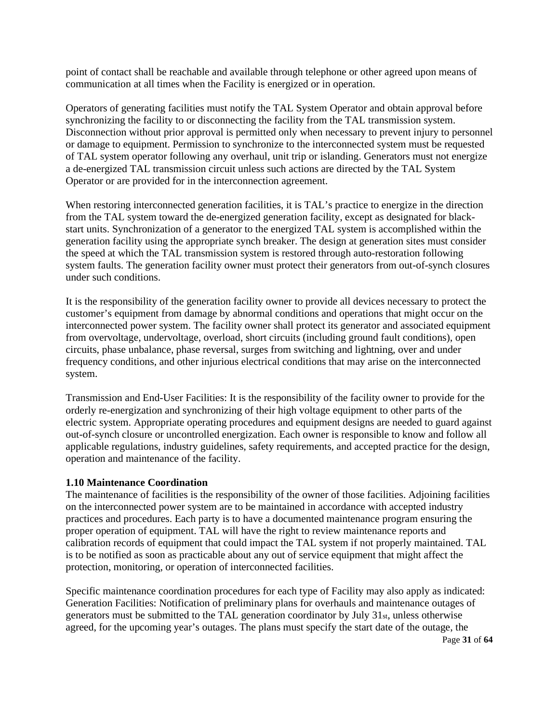point of contact shall be reachable and available through telephone or other agreed upon means of communication at all times when the Facility is energized or in operation.

Operators of generating facilities must notify the TAL System Operator and obtain approval before synchronizing the facility to or disconnecting the facility from the TAL transmission system. Disconnection without prior approval is permitted only when necessary to prevent injury to personnel or damage to equipment. Permission to synchronize to the interconnected system must be requested of TAL system operator following any overhaul, unit trip or islanding. Generators must not energize a de-energized TAL transmission circuit unless such actions are directed by the TAL System Operator or are provided for in the interconnection agreement.

When restoring interconnected generation facilities, it is TAL's practice to energize in the direction from the TAL system toward the de-energized generation facility, except as designated for blackstart units. Synchronization of a generator to the energized TAL system is accomplished within the generation facility using the appropriate synch breaker. The design at generation sites must consider the speed at which the TAL transmission system is restored through auto-restoration following system faults. The generation facility owner must protect their generators from out-of-synch closures under such conditions.

It is the responsibility of the generation facility owner to provide all devices necessary to protect the customer's equipment from damage by abnormal conditions and operations that might occur on the interconnected power system. The facility owner shall protect its generator and associated equipment from overvoltage, undervoltage, overload, short circuits (including ground fault conditions), open circuits, phase unbalance, phase reversal, surges from switching and lightning, over and under frequency conditions, and other injurious electrical conditions that may arise on the interconnected system.

Transmission and End-User Facilities: It is the responsibility of the facility owner to provide for the orderly re-energization and synchronizing of their high voltage equipment to other parts of the electric system. Appropriate operating procedures and equipment designs are needed to guard against out-of-synch closure or uncontrolled energization. Each owner is responsible to know and follow all applicable regulations, industry guidelines, safety requirements, and accepted practice for the design, operation and maintenance of the facility.

#### **1.10 Maintenance Coordination**

The maintenance of facilities is the responsibility of the owner of those facilities. Adjoining facilities on the interconnected power system are to be maintained in accordance with accepted industry practices and procedures. Each party is to have a documented maintenance program ensuring the proper operation of equipment. TAL will have the right to review maintenance reports and calibration records of equipment that could impact the TAL system if not properly maintained. TAL is to be notified as soon as practicable about any out of service equipment that might affect the protection, monitoring, or operation of interconnected facilities.

Specific maintenance coordination procedures for each type of Facility may also apply as indicated: Generation Facilities: Notification of preliminary plans for overhauls and maintenance outages of generators must be submitted to the TAL generation coordinator by July 31st, unless otherwise agreed, for the upcoming year's outages. The plans must specify the start date of the outage, the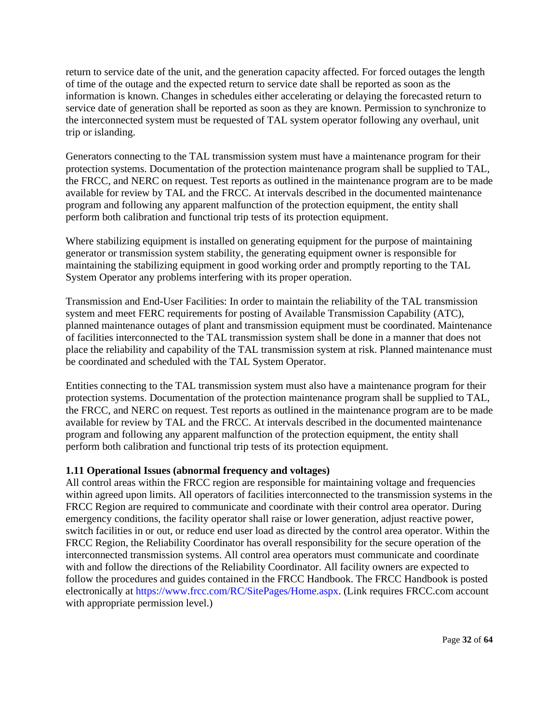return to service date of the unit, and the generation capacity affected. For forced outages the length of time of the outage and the expected return to service date shall be reported as soon as the information is known. Changes in schedules either accelerating or delaying the forecasted return to service date of generation shall be reported as soon as they are known. Permission to synchronize to the interconnected system must be requested of TAL system operator following any overhaul, unit trip or islanding.

Generators connecting to the TAL transmission system must have a maintenance program for their protection systems. Documentation of the protection maintenance program shall be supplied to TAL, the FRCC, and NERC on request. Test reports as outlined in the maintenance program are to be made available for review by TAL and the FRCC. At intervals described in the documented maintenance program and following any apparent malfunction of the protection equipment, the entity shall perform both calibration and functional trip tests of its protection equipment.

Where stabilizing equipment is installed on generating equipment for the purpose of maintaining generator or transmission system stability, the generating equipment owner is responsible for maintaining the stabilizing equipment in good working order and promptly reporting to the TAL System Operator any problems interfering with its proper operation.

Transmission and End-User Facilities: In order to maintain the reliability of the TAL transmission system and meet FERC requirements for posting of Available Transmission Capability (ATC), planned maintenance outages of plant and transmission equipment must be coordinated. Maintenance of facilities interconnected to the TAL transmission system shall be done in a manner that does not place the reliability and capability of the TAL transmission system at risk. Planned maintenance must be coordinated and scheduled with the TAL System Operator.

Entities connecting to the TAL transmission system must also have a maintenance program for their protection systems. Documentation of the protection maintenance program shall be supplied to TAL, the FRCC, and NERC on request. Test reports as outlined in the maintenance program are to be made available for review by TAL and the FRCC. At intervals described in the documented maintenance program and following any apparent malfunction of the protection equipment, the entity shall perform both calibration and functional trip tests of its protection equipment.

#### **1.11 Operational Issues (abnormal frequency and voltages)**

All control areas within the FRCC region are responsible for maintaining voltage and frequencies within agreed upon limits. All operators of facilities interconnected to the transmission systems in the FRCC Region are required to communicate and coordinate with their control area operator. During emergency conditions, the facility operator shall raise or lower generation, adjust reactive power, switch facilities in or out, or reduce end user load as directed by the control area operator. Within the FRCC Region, the Reliability Coordinator has overall responsibility for the secure operation of the interconnected transmission systems. All control area operators must communicate and coordinate with and follow the directions of the Reliability Coordinator. All facility owners are expected to follow the procedures and guides contained in the FRCC Handbook. The FRCC Handbook is posted electronically at https://www.frcc.com/RC/SitePages/Home.aspx. (Link requires FRCC.com account with appropriate permission level.)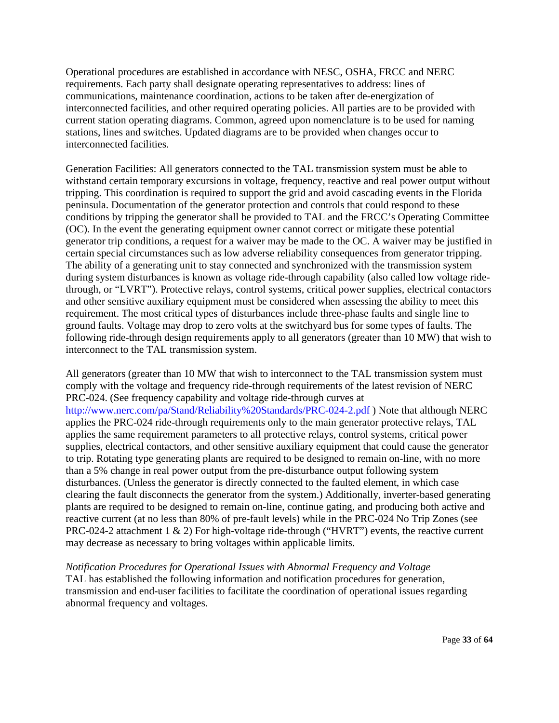Operational procedures are established in accordance with NESC, OSHA, FRCC and NERC requirements. Each party shall designate operating representatives to address: lines of communications, maintenance coordination, actions to be taken after de-energization of interconnected facilities, and other required operating policies. All parties are to be provided with current station operating diagrams. Common, agreed upon nomenclature is to be used for naming stations, lines and switches. Updated diagrams are to be provided when changes occur to interconnected facilities.

Generation Facilities: All generators connected to the TAL transmission system must be able to withstand certain temporary excursions in voltage, frequency, reactive and real power output without tripping. This coordination is required to support the grid and avoid cascading events in the Florida peninsula. Documentation of the generator protection and controls that could respond to these conditions by tripping the generator shall be provided to TAL and the FRCC's Operating Committee (OC). In the event the generating equipment owner cannot correct or mitigate these potential generator trip conditions, a request for a waiver may be made to the OC. A waiver may be justified in certain special circumstances such as low adverse reliability consequences from generator tripping. The ability of a generating unit to stay connected and synchronized with the transmission system during system disturbances is known as voltage ride-through capability (also called low voltage ridethrough, or "LVRT"). Protective relays, control systems, critical power supplies, electrical contactors and other sensitive auxiliary equipment must be considered when assessing the ability to meet this requirement. The most critical types of disturbances include three-phase faults and single line to ground faults. Voltage may drop to zero volts at the switchyard bus for some types of faults. The following ride-through design requirements apply to all generators (greater than 10 MW) that wish to interconnect to the TAL transmission system.

All generators (greater than 10 MW that wish to interconnect to the TAL transmission system must comply with the voltage and frequency ride-through requirements of the latest revision of NERC PRC-024. (See frequency capability and voltage ride-through curves at http://www.nerc.com/pa/Stand/Reliability%20Standards/PRC-024-2.pdf ) Note that although NERC applies the PRC-024 ride-through requirements only to the main generator protective relays, TAL applies the same requirement parameters to all protective relays, control systems, critical power supplies, electrical contactors, and other sensitive auxiliary equipment that could cause the generator to trip. Rotating type generating plants are required to be designed to remain on-line, with no more than a 5% change in real power output from the pre-disturbance output following system disturbances. (Unless the generator is directly connected to the faulted element, in which case clearing the fault disconnects the generator from the system.) Additionally, inverter-based generating plants are required to be designed to remain on-line, continue gating, and producing both active and reactive current (at no less than 80% of pre-fault levels) while in the PRC-024 No Trip Zones (see PRC-024-2 attachment 1 & 2) For high-voltage ride-through ("HVRT") events, the reactive current may decrease as necessary to bring voltages within applicable limits.

*Notification Procedures for Operational Issues with Abnormal Frequency and Voltage*  TAL has established the following information and notification procedures for generation, transmission and end-user facilities to facilitate the coordination of operational issues regarding abnormal frequency and voltages.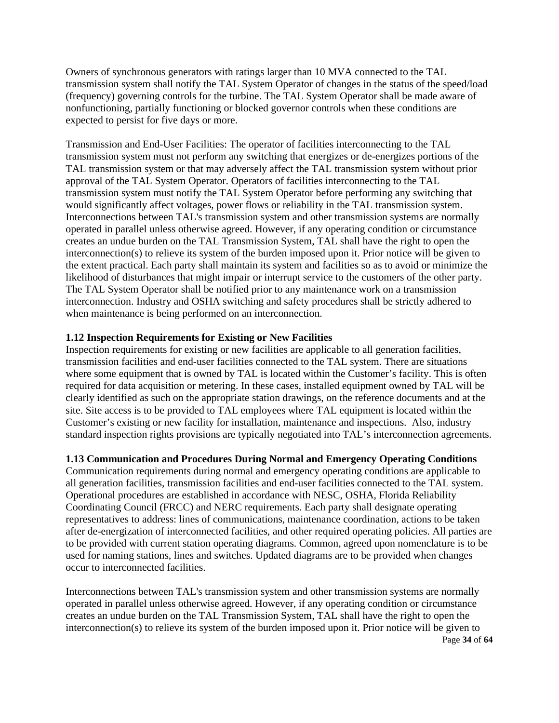Owners of synchronous generators with ratings larger than 10 MVA connected to the TAL transmission system shall notify the TAL System Operator of changes in the status of the speed/load (frequency) governing controls for the turbine. The TAL System Operator shall be made aware of nonfunctioning, partially functioning or blocked governor controls when these conditions are expected to persist for five days or more.

Transmission and End-User Facilities: The operator of facilities interconnecting to the TAL transmission system must not perform any switching that energizes or de-energizes portions of the TAL transmission system or that may adversely affect the TAL transmission system without prior approval of the TAL System Operator. Operators of facilities interconnecting to the TAL transmission system must notify the TAL System Operator before performing any switching that would significantly affect voltages, power flows or reliability in the TAL transmission system. Interconnections between TAL's transmission system and other transmission systems are normally operated in parallel unless otherwise agreed. However, if any operating condition or circumstance creates an undue burden on the TAL Transmission System, TAL shall have the right to open the interconnection(s) to relieve its system of the burden imposed upon it. Prior notice will be given to the extent practical. Each party shall maintain its system and facilities so as to avoid or minimize the likelihood of disturbances that might impair or interrupt service to the customers of the other party. The TAL System Operator shall be notified prior to any maintenance work on a transmission interconnection. Industry and OSHA switching and safety procedures shall be strictly adhered to when maintenance is being performed on an interconnection.

#### **1.12 Inspection Requirements for Existing or New Facilities**

Inspection requirements for existing or new facilities are applicable to all generation facilities, transmission facilities and end-user facilities connected to the TAL system. There are situations where some equipment that is owned by TAL is located within the Customer's facility. This is often required for data acquisition or metering. In these cases, installed equipment owned by TAL will be clearly identified as such on the appropriate station drawings, on the reference documents and at the site. Site access is to be provided to TAL employees where TAL equipment is located within the Customer's existing or new facility for installation, maintenance and inspections. Also, industry standard inspection rights provisions are typically negotiated into TAL's interconnection agreements.

# **1.13 Communication and Procedures During Normal and Emergency Operating Conditions**

Communication requirements during normal and emergency operating conditions are applicable to all generation facilities, transmission facilities and end-user facilities connected to the TAL system. Operational procedures are established in accordance with NESC, OSHA, Florida Reliability Coordinating Council (FRCC) and NERC requirements. Each party shall designate operating representatives to address: lines of communications, maintenance coordination, actions to be taken after de-energization of interconnected facilities, and other required operating policies. All parties are to be provided with current station operating diagrams. Common, agreed upon nomenclature is to be used for naming stations, lines and switches. Updated diagrams are to be provided when changes occur to interconnected facilities.

Page **34** of **64** Interconnections between TAL's transmission system and other transmission systems are normally operated in parallel unless otherwise agreed. However, if any operating condition or circumstance creates an undue burden on the TAL Transmission System, TAL shall have the right to open the interconnection(s) to relieve its system of the burden imposed upon it. Prior notice will be given to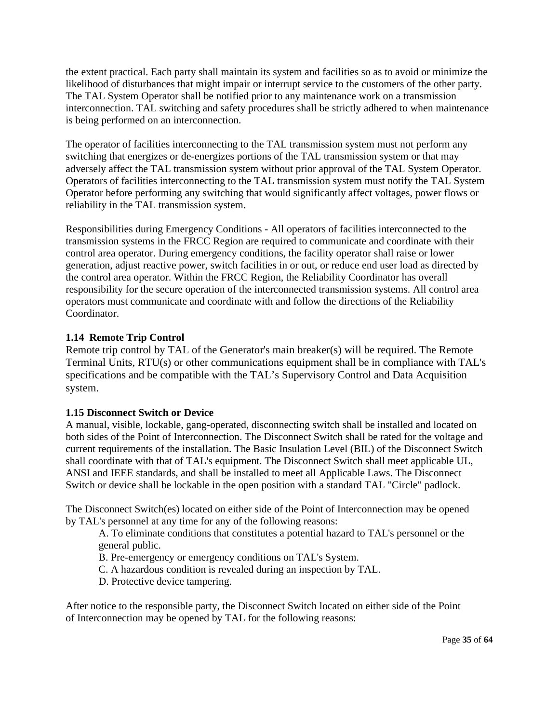the extent practical. Each party shall maintain its system and facilities so as to avoid or minimize the likelihood of disturbances that might impair or interrupt service to the customers of the other party. The TAL System Operator shall be notified prior to any maintenance work on a transmission interconnection. TAL switching and safety procedures shall be strictly adhered to when maintenance is being performed on an interconnection.

The operator of facilities interconnecting to the TAL transmission system must not perform any switching that energizes or de-energizes portions of the TAL transmission system or that may adversely affect the TAL transmission system without prior approval of the TAL System Operator. Operators of facilities interconnecting to the TAL transmission system must notify the TAL System Operator before performing any switching that would significantly affect voltages, power flows or reliability in the TAL transmission system.

Responsibilities during Emergency Conditions - All operators of facilities interconnected to the transmission systems in the FRCC Region are required to communicate and coordinate with their control area operator. During emergency conditions, the facility operator shall raise or lower generation, adjust reactive power, switch facilities in or out, or reduce end user load as directed by the control area operator. Within the FRCC Region, the Reliability Coordinator has overall responsibility for the secure operation of the interconnected transmission systems. All control area operators must communicate and coordinate with and follow the directions of the Reliability Coordinator.

#### **1.14 Remote Trip Control**

Remote trip control by TAL of the Generator's main breaker(s) will be required. The Remote Terminal Units, RTU(s) or other communications equipment shall be in compliance with TAL's specifications and be compatible with the TAL's Supervisory Control and Data Acquisition system.

#### **1.15 Disconnect Switch or Device**

A manual, visible, lockable, gang-operated, disconnecting switch shall be installed and located on both sides of the Point of Interconnection. The Disconnect Switch shall be rated for the voltage and current requirements of the installation. The Basic Insulation Level (BIL) of the Disconnect Switch shall coordinate with that of TAL's equipment. The Disconnect Switch shall meet applicable UL, ANSI and IEEE standards, and shall be installed to meet all Applicable Laws. The Disconnect Switch or device shall be lockable in the open position with a standard TAL "Circle" padlock.

The Disconnect Switch(es) located on either side of the Point of Interconnection may be opened by TAL's personnel at any time for any of the following reasons:

A. To eliminate conditions that constitutes a potential hazard to TAL's personnel or the general public.

B. Pre-emergency or emergency conditions on TAL's System.

C. A hazardous condition is revealed during an inspection by TAL.

D. Protective device tampering.

After notice to the responsible party, the Disconnect Switch located on either side of the Point of Interconnection may be opened by TAL for the following reasons: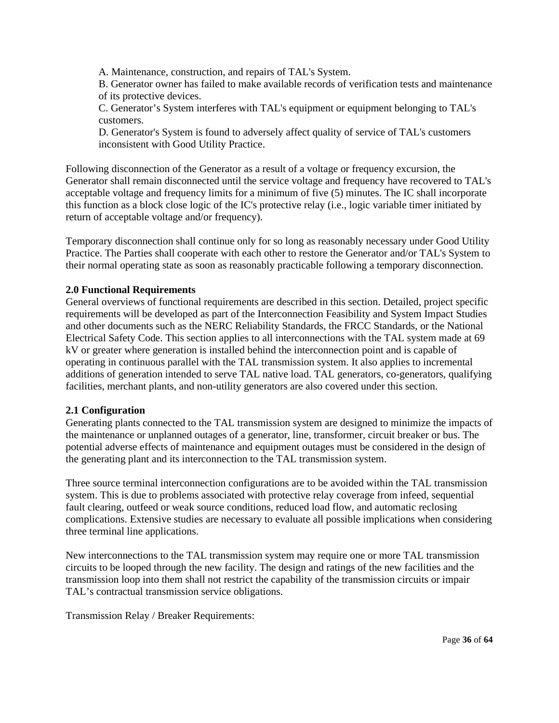A. Maintenance, construction, and repairs of TAL's System.

B. Generator owner has failed to make available records of verification tests and maintenance of its protective devices.

C. Generator's System interferes with TAL's equipment or equipment belonging to TAL's customers.

D. Generator's System is found to adversely affect quality of service of TAL's customers inconsistent with Good Utility Practice.

Following disconnection of the Generator as a result of a voltage or frequency excursion, the Generator shall remain disconnected until the service voltage and frequency have recovered to TAL's acceptable voltage and frequency limits for a minimum of five (5) minutes. The IC shall incorporate this function as a block close logic of the IC's protective relay (i.e., logic variable timer initiated by return of acceptable voltage and/or frequency).

Temporary disconnection shall continue only for so long as reasonably necessary under Good Utility Practice. The Parties shall cooperate with each other to restore the Generator and/or TAL's System to their normal operating state as soon as reasonably practicable following a temporary disconnection.

#### **2.0 Functional Requirements**

General overviews of functional requirements are described in this section. Detailed, project specific requirements will be developed as part of the Interconnection Feasibility and System Impact Studies and other documents such as the NERC Reliability Standards, the FRCC Standards, or the National Electrical Safety Code. This section applies to all interconnections with the TAL system made at 69 kV or greater where generation is installed behind the interconnection point and is capable of operating in continuous parallel with the TAL transmission system. It also applies to incremental additions of generation intended to serve TAL native load. TAL generators, co-generators, qualifying facilities, merchant plants, and non-utility generators are also covered under this section.

#### **2.1 Configuration**

Generating plants connected to the TAL transmission system are designed to minimize the impacts of the maintenance or unplanned outages of a generator, line, transformer, circuit breaker or bus. The potential adverse effects of maintenance and equipment outages must be considered in the design of the generating plant and its interconnection to the TAL transmission system.

Three source terminal interconnection configurations are to be avoided within the TAL transmission system. This is due to problems associated with protective relay coverage from infeed, sequential fault clearing, outfeed or weak source conditions, reduced load flow, and automatic reclosing complications. Extensive studies are necessary to evaluate all possible implications when considering three terminal line applications.

New interconnections to the TAL transmission system may require one or more TAL transmission circuits to be looped through the new facility. The design and ratings of the new facilities and the transmission loop into them shall not restrict the capability of the transmission circuits or impair TAL's contractual transmission service obligations.

Transmission Relay / Breaker Requirements: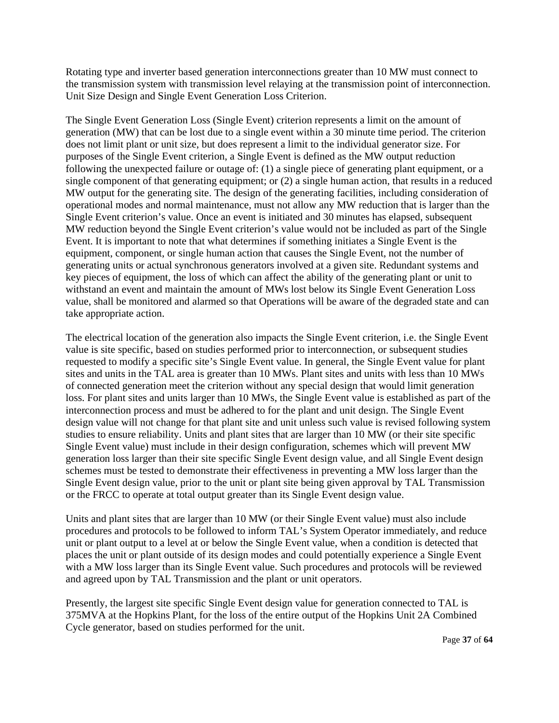Rotating type and inverter based generation interconnections greater than 10 MW must connect to the transmission system with transmission level relaying at the transmission point of interconnection. Unit Size Design and Single Event Generation Loss Criterion.

The Single Event Generation Loss (Single Event) criterion represents a limit on the amount of generation (MW) that can be lost due to a single event within a 30 minute time period. The criterion does not limit plant or unit size, but does represent a limit to the individual generator size. For purposes of the Single Event criterion, a Single Event is defined as the MW output reduction following the unexpected failure or outage of: (1) a single piece of generating plant equipment, or a single component of that generating equipment; or (2) a single human action, that results in a reduced MW output for the generating site. The design of the generating facilities, including consideration of operational modes and normal maintenance, must not allow any MW reduction that is larger than the Single Event criterion's value. Once an event is initiated and 30 minutes has elapsed, subsequent MW reduction beyond the Single Event criterion's value would not be included as part of the Single Event. It is important to note that what determines if something initiates a Single Event is the equipment, component, or single human action that causes the Single Event, not the number of generating units or actual synchronous generators involved at a given site. Redundant systems and key pieces of equipment, the loss of which can affect the ability of the generating plant or unit to withstand an event and maintain the amount of MWs lost below its Single Event Generation Loss value, shall be monitored and alarmed so that Operations will be aware of the degraded state and can take appropriate action.

The electrical location of the generation also impacts the Single Event criterion, i.e. the Single Event value is site specific, based on studies performed prior to interconnection, or subsequent studies requested to modify a specific site's Single Event value. In general, the Single Event value for plant sites and units in the TAL area is greater than 10 MWs. Plant sites and units with less than 10 MWs of connected generation meet the criterion without any special design that would limit generation loss. For plant sites and units larger than 10 MWs, the Single Event value is established as part of the interconnection process and must be adhered to for the plant and unit design. The Single Event design value will not change for that plant site and unit unless such value is revised following system studies to ensure reliability. Units and plant sites that are larger than 10 MW (or their site specific Single Event value) must include in their design configuration, schemes which will prevent MW generation loss larger than their site specific Single Event design value, and all Single Event design schemes must be tested to demonstrate their effectiveness in preventing a MW loss larger than the Single Event design value, prior to the unit or plant site being given approval by TAL Transmission or the FRCC to operate at total output greater than its Single Event design value.

Units and plant sites that are larger than 10 MW (or their Single Event value) must also include procedures and protocols to be followed to inform TAL's System Operator immediately, and reduce unit or plant output to a level at or below the Single Event value, when a condition is detected that places the unit or plant outside of its design modes and could potentially experience a Single Event with a MW loss larger than its Single Event value. Such procedures and protocols will be reviewed and agreed upon by TAL Transmission and the plant or unit operators.

Presently, the largest site specific Single Event design value for generation connected to TAL is 375MVA at the Hopkins Plant, for the loss of the entire output of the Hopkins Unit 2A Combined Cycle generator, based on studies performed for the unit.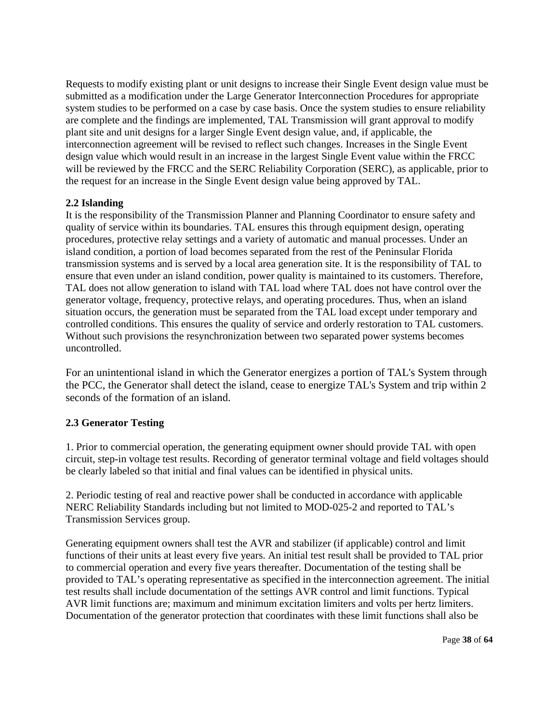Requests to modify existing plant or unit designs to increase their Single Event design value must be submitted as a modification under the Large Generator Interconnection Procedures for appropriate system studies to be performed on a case by case basis. Once the system studies to ensure reliability are complete and the findings are implemented, TAL Transmission will grant approval to modify plant site and unit designs for a larger Single Event design value, and, if applicable, the interconnection agreement will be revised to reflect such changes. Increases in the Single Event design value which would result in an increase in the largest Single Event value within the FRCC will be reviewed by the FRCC and the SERC Reliability Corporation (SERC), as applicable, prior to the request for an increase in the Single Event design value being approved by TAL.

#### **2.2 Islanding**

It is the responsibility of the Transmission Planner and Planning Coordinator to ensure safety and quality of service within its boundaries. TAL ensures this through equipment design, operating procedures, protective relay settings and a variety of automatic and manual processes. Under an island condition, a portion of load becomes separated from the rest of the Peninsular Florida transmission systems and is served by a local area generation site. It is the responsibility of TAL to ensure that even under an island condition, power quality is maintained to its customers. Therefore, TAL does not allow generation to island with TAL load where TAL does not have control over the generator voltage, frequency, protective relays, and operating procedures. Thus, when an island situation occurs, the generation must be separated from the TAL load except under temporary and controlled conditions. This ensures the quality of service and orderly restoration to TAL customers. Without such provisions the resynchronization between two separated power systems becomes uncontrolled.

For an unintentional island in which the Generator energizes a portion of TAL's System through the PCC, the Generator shall detect the island, cease to energize TAL's System and trip within 2 seconds of the formation of an island.

# **2.3 Generator Testing**

1. Prior to commercial operation, the generating equipment owner should provide TAL with open circuit, step-in voltage test results. Recording of generator terminal voltage and field voltages should be clearly labeled so that initial and final values can be identified in physical units.

2. Periodic testing of real and reactive power shall be conducted in accordance with applicable NERC Reliability Standards including but not limited to MOD-025-2 and reported to TAL's Transmission Services group.

Generating equipment owners shall test the AVR and stabilizer (if applicable) control and limit functions of their units at least every five years. An initial test result shall be provided to TAL prior to commercial operation and every five years thereafter. Documentation of the testing shall be provided to TAL's operating representative as specified in the interconnection agreement. The initial test results shall include documentation of the settings AVR control and limit functions. Typical AVR limit functions are; maximum and minimum excitation limiters and volts per hertz limiters. Documentation of the generator protection that coordinates with these limit functions shall also be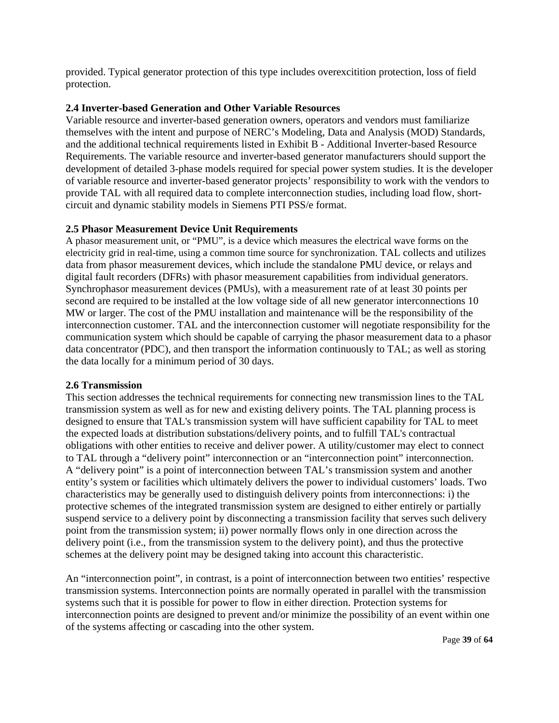provided. Typical generator protection of this type includes overexcitition protection, loss of field protection.

#### **2.4 Inverter-based Generation and Other Variable Resources**

Variable resource and inverter-based generation owners, operators and vendors must familiarize themselves with the intent and purpose of NERC's Modeling, Data and Analysis (MOD) Standards, and the additional technical requirements listed in Exhibit B - Additional Inverter-based Resource Requirements. The variable resource and inverter-based generator manufacturers should support the development of detailed 3-phase models required for special power system studies. It is the developer of variable resource and inverter-based generator projects' responsibility to work with the vendors to provide TAL with all required data to complete interconnection studies, including load flow, shortcircuit and dynamic stability models in Siemens PTI PSS/e format.

#### **2.5 Phasor Measurement Device Unit Requirements**

A phasor measurement unit, or "PMU", is a device which measures the electrical wave forms on the electricity grid in real-time, using a common time source for synchronization. TAL collects and utilizes data from phasor measurement devices, which include the standalone PMU device, or relays and digital fault recorders (DFRs) with phasor measurement capabilities from individual generators. Synchrophasor measurement devices (PMUs), with a measurement rate of at least 30 points per second are required to be installed at the low voltage side of all new generator interconnections 10 MW or larger. The cost of the PMU installation and maintenance will be the responsibility of the interconnection customer. TAL and the interconnection customer will negotiate responsibility for the communication system which should be capable of carrying the phasor measurement data to a phasor data concentrator (PDC), and then transport the information continuously to TAL; as well as storing the data locally for a minimum period of 30 days.

#### **2.6 Transmission**

This section addresses the technical requirements for connecting new transmission lines to the TAL transmission system as well as for new and existing delivery points. The TAL planning process is designed to ensure that TAL's transmission system will have sufficient capability for TAL to meet the expected loads at distribution substations/delivery points, and to fulfill TAL's contractual obligations with other entities to receive and deliver power. A utility/customer may elect to connect to TAL through a "delivery point" interconnection or an "interconnection point" interconnection. A "delivery point" is a point of interconnection between TAL's transmission system and another entity's system or facilities which ultimately delivers the power to individual customers' loads. Two characteristics may be generally used to distinguish delivery points from interconnections: i) the protective schemes of the integrated transmission system are designed to either entirely or partially suspend service to a delivery point by disconnecting a transmission facility that serves such delivery point from the transmission system; ii) power normally flows only in one direction across the delivery point (i.e., from the transmission system to the delivery point), and thus the protective schemes at the delivery point may be designed taking into account this characteristic.

An "interconnection point", in contrast, is a point of interconnection between two entities' respective transmission systems. Interconnection points are normally operated in parallel with the transmission systems such that it is possible for power to flow in either direction. Protection systems for interconnection points are designed to prevent and/or minimize the possibility of an event within one of the systems affecting or cascading into the other system.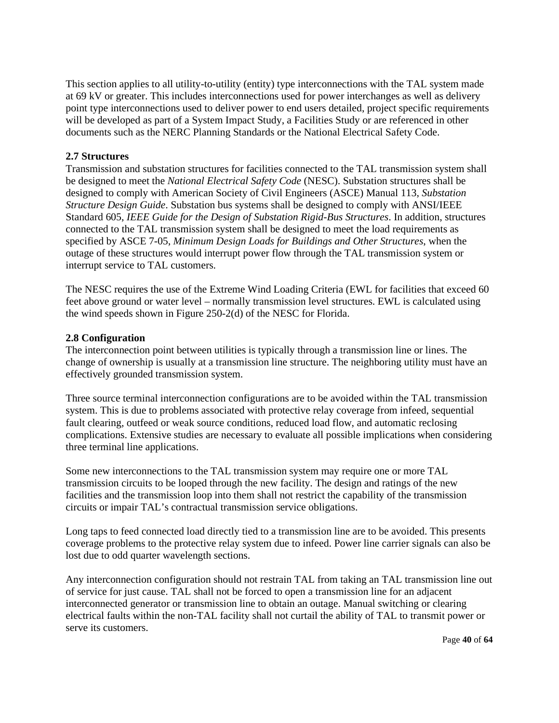This section applies to all utility-to-utility (entity) type interconnections with the TAL system made at 69 kV or greater. This includes interconnections used for power interchanges as well as delivery point type interconnections used to deliver power to end users detailed, project specific requirements will be developed as part of a System Impact Study, a Facilities Study or are referenced in other documents such as the NERC Planning Standards or the National Electrical Safety Code.

#### **2.7 Structures**

Transmission and substation structures for facilities connected to the TAL transmission system shall be designed to meet the *National Electrical Safety Code* (NESC). Substation structures shall be designed to comply with American Society of Civil Engineers (ASCE) Manual 113, *Substation Structure Design Guide*. Substation bus systems shall be designed to comply with ANSI/IEEE Standard 605, *IEEE Guide for the Design of Substation Rigid-Bus Structures*. In addition, structures connected to the TAL transmission system shall be designed to meet the load requirements as specified by ASCE 7-05, *Minimum Design Loads for Buildings and Other Structures*, when the outage of these structures would interrupt power flow through the TAL transmission system or interrupt service to TAL customers.

The NESC requires the use of the Extreme Wind Loading Criteria (EWL for facilities that exceed 60 feet above ground or water level – normally transmission level structures. EWL is calculated using the wind speeds shown in Figure 250-2(d) of the NESC for Florida.

#### **2.8 Configuration**

The interconnection point between utilities is typically through a transmission line or lines. The change of ownership is usually at a transmission line structure. The neighboring utility must have an effectively grounded transmission system.

Three source terminal interconnection configurations are to be avoided within the TAL transmission system. This is due to problems associated with protective relay coverage from infeed, sequential fault clearing, outfeed or weak source conditions, reduced load flow, and automatic reclosing complications. Extensive studies are necessary to evaluate all possible implications when considering three terminal line applications.

Some new interconnections to the TAL transmission system may require one or more TAL transmission circuits to be looped through the new facility. The design and ratings of the new facilities and the transmission loop into them shall not restrict the capability of the transmission circuits or impair TAL's contractual transmission service obligations.

Long taps to feed connected load directly tied to a transmission line are to be avoided. This presents coverage problems to the protective relay system due to infeed. Power line carrier signals can also be lost due to odd quarter wavelength sections.

Any interconnection configuration should not restrain TAL from taking an TAL transmission line out of service for just cause. TAL shall not be forced to open a transmission line for an adjacent interconnected generator or transmission line to obtain an outage. Manual switching or clearing electrical faults within the non-TAL facility shall not curtail the ability of TAL to transmit power or serve its customers.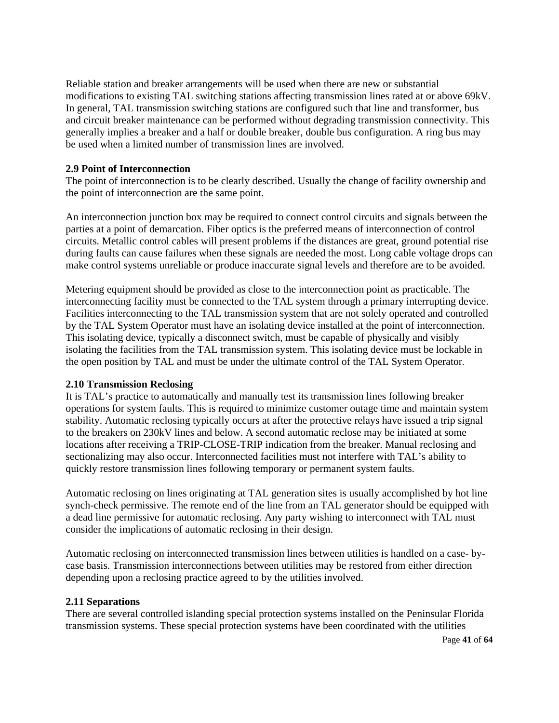Reliable station and breaker arrangements will be used when there are new or substantial modifications to existing TAL switching stations affecting transmission lines rated at or above 69kV. In general, TAL transmission switching stations are configured such that line and transformer, bus and circuit breaker maintenance can be performed without degrading transmission connectivity. This generally implies a breaker and a half or double breaker, double bus configuration. A ring bus may be used when a limited number of transmission lines are involved.

#### **2.9 Point of Interconnection**

The point of interconnection is to be clearly described. Usually the change of facility ownership and the point of interconnection are the same point.

An interconnection junction box may be required to connect control circuits and signals between the parties at a point of demarcation. Fiber optics is the preferred means of interconnection of control circuits. Metallic control cables will present problems if the distances are great, ground potential rise during faults can cause failures when these signals are needed the most. Long cable voltage drops can make control systems unreliable or produce inaccurate signal levels and therefore are to be avoided.

Metering equipment should be provided as close to the interconnection point as practicable. The interconnecting facility must be connected to the TAL system through a primary interrupting device. Facilities interconnecting to the TAL transmission system that are not solely operated and controlled by the TAL System Operator must have an isolating device installed at the point of interconnection. This isolating device, typically a disconnect switch, must be capable of physically and visibly isolating the facilities from the TAL transmission system. This isolating device must be lockable in the open position by TAL and must be under the ultimate control of the TAL System Operator.

#### **2.10 Transmission Reclosing**

It is TAL's practice to automatically and manually test its transmission lines following breaker operations for system faults. This is required to minimize customer outage time and maintain system stability. Automatic reclosing typically occurs at after the protective relays have issued a trip signal to the breakers on 230kV lines and below. A second automatic reclose may be initiated at some locations after receiving a TRIP-CLOSE-TRIP indication from the breaker. Manual reclosing and sectionalizing may also occur. Interconnected facilities must not interfere with TAL's ability to quickly restore transmission lines following temporary or permanent system faults.

Automatic reclosing on lines originating at TAL generation sites is usually accomplished by hot line synch-check permissive. The remote end of the line from an TAL generator should be equipped with a dead line permissive for automatic reclosing. Any party wishing to interconnect with TAL must consider the implications of automatic reclosing in their design.

Automatic reclosing on interconnected transmission lines between utilities is handled on a case- bycase basis. Transmission interconnections between utilities may be restored from either direction depending upon a reclosing practice agreed to by the utilities involved.

#### **2.11 Separations**

There are several controlled islanding special protection systems installed on the Peninsular Florida transmission systems. These special protection systems have been coordinated with the utilities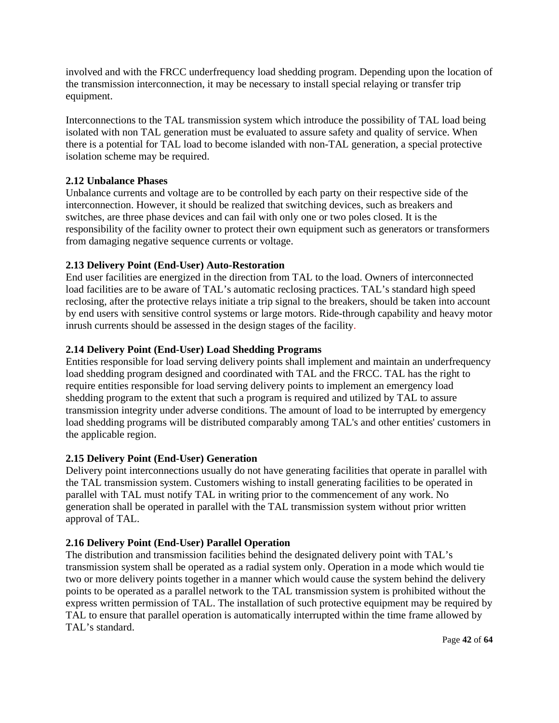involved and with the FRCC underfrequency load shedding program. Depending upon the location of the transmission interconnection, it may be necessary to install special relaying or transfer trip equipment.

Interconnections to the TAL transmission system which introduce the possibility of TAL load being isolated with non TAL generation must be evaluated to assure safety and quality of service. When there is a potential for TAL load to become islanded with non-TAL generation, a special protective isolation scheme may be required.

#### **2.12 Unbalance Phases**

Unbalance currents and voltage are to be controlled by each party on their respective side of the interconnection. However, it should be realized that switching devices, such as breakers and switches, are three phase devices and can fail with only one or two poles closed. It is the responsibility of the facility owner to protect their own equipment such as generators or transformers from damaging negative sequence currents or voltage.

#### **2.13 Delivery Point (End-User) Auto-Restoration**

End user facilities are energized in the direction from TAL to the load. Owners of interconnected load facilities are to be aware of TAL's automatic reclosing practices. TAL's standard high speed reclosing, after the protective relays initiate a trip signal to the breakers, should be taken into account by end users with sensitive control systems or large motors. Ride-through capability and heavy motor inrush currents should be assessed in the design stages of the facility.

#### **2.14 Delivery Point (End-User) Load Shedding Programs**

Entities responsible for load serving delivery points shall implement and maintain an underfrequency load shedding program designed and coordinated with TAL and the FRCC. TAL has the right to require entities responsible for load serving delivery points to implement an emergency load shedding program to the extent that such a program is required and utilized by TAL to assure transmission integrity under adverse conditions. The amount of load to be interrupted by emergency load shedding programs will be distributed comparably among TAL's and other entities' customers in the applicable region.

#### **2.15 Delivery Point (End-User) Generation**

Delivery point interconnections usually do not have generating facilities that operate in parallel with the TAL transmission system. Customers wishing to install generating facilities to be operated in parallel with TAL must notify TAL in writing prior to the commencement of any work. No generation shall be operated in parallel with the TAL transmission system without prior written approval of TAL.

#### **2.16 Delivery Point (End-User) Parallel Operation**

The distribution and transmission facilities behind the designated delivery point with TAL's transmission system shall be operated as a radial system only. Operation in a mode which would tie two or more delivery points together in a manner which would cause the system behind the delivery points to be operated as a parallel network to the TAL transmission system is prohibited without the express written permission of TAL. The installation of such protective equipment may be required by TAL to ensure that parallel operation is automatically interrupted within the time frame allowed by TAL's standard.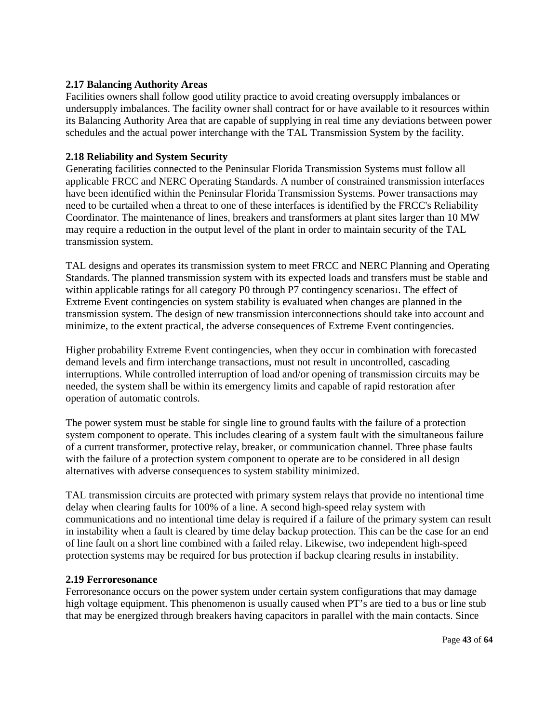#### **2.17 Balancing Authority Areas**

Facilities owners shall follow good utility practice to avoid creating oversupply imbalances or undersupply imbalances. The facility owner shall contract for or have available to it resources within its Balancing Authority Area that are capable of supplying in real time any deviations between power schedules and the actual power interchange with the TAL Transmission System by the facility.

#### **2.18 Reliability and System Security**

Generating facilities connected to the Peninsular Florida Transmission Systems must follow all applicable FRCC and NERC Operating Standards. A number of constrained transmission interfaces have been identified within the Peninsular Florida Transmission Systems. Power transactions may need to be curtailed when a threat to one of these interfaces is identified by the FRCC's Reliability Coordinator. The maintenance of lines, breakers and transformers at plant sites larger than 10 MW may require a reduction in the output level of the plant in order to maintain security of the TAL transmission system.

TAL designs and operates its transmission system to meet FRCC and NERC Planning and Operating Standards. The planned transmission system with its expected loads and transfers must be stable and within applicable ratings for all category P0 through P7 contingency scenarios1. The effect of Extreme Event contingencies on system stability is evaluated when changes are planned in the transmission system. The design of new transmission interconnections should take into account and minimize, to the extent practical, the adverse consequences of Extreme Event contingencies.

Higher probability Extreme Event contingencies, when they occur in combination with forecasted demand levels and firm interchange transactions, must not result in uncontrolled, cascading interruptions. While controlled interruption of load and/or opening of transmission circuits may be needed, the system shall be within its emergency limits and capable of rapid restoration after operation of automatic controls.

The power system must be stable for single line to ground faults with the failure of a protection system component to operate. This includes clearing of a system fault with the simultaneous failure of a current transformer, protective relay, breaker, or communication channel. Three phase faults with the failure of a protection system component to operate are to be considered in all design alternatives with adverse consequences to system stability minimized.

TAL transmission circuits are protected with primary system relays that provide no intentional time delay when clearing faults for 100% of a line. A second high-speed relay system with communications and no intentional time delay is required if a failure of the primary system can result in instability when a fault is cleared by time delay backup protection. This can be the case for an end of line fault on a short line combined with a failed relay. Likewise, two independent high-speed protection systems may be required for bus protection if backup clearing results in instability.

#### **2.19 Ferroresonance**

Ferroresonance occurs on the power system under certain system configurations that may damage high voltage equipment. This phenomenon is usually caused when PT's are tied to a bus or line stub that may be energized through breakers having capacitors in parallel with the main contacts. Since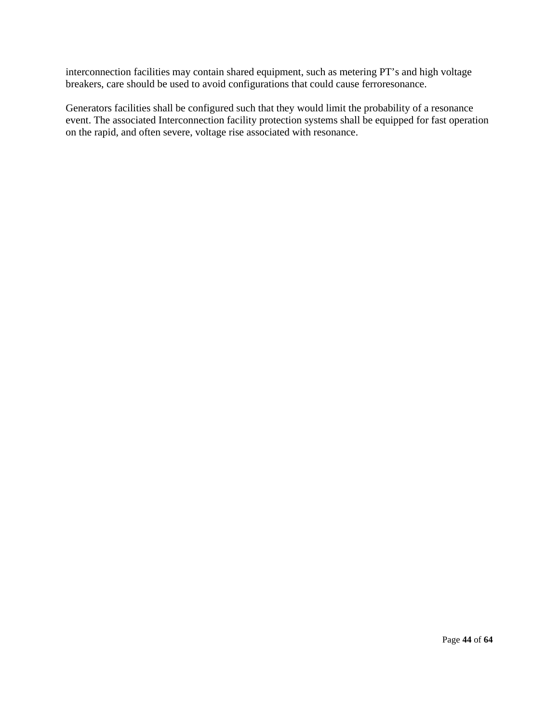interconnection facilities may contain shared equipment, such as metering PT's and high voltage breakers, care should be used to avoid configurations that could cause ferroresonance.

Generators facilities shall be configured such that they would limit the probability of a resonance event. The associated Interconnection facility protection systems shall be equipped for fast operation on the rapid, and often severe, voltage rise associated with resonance.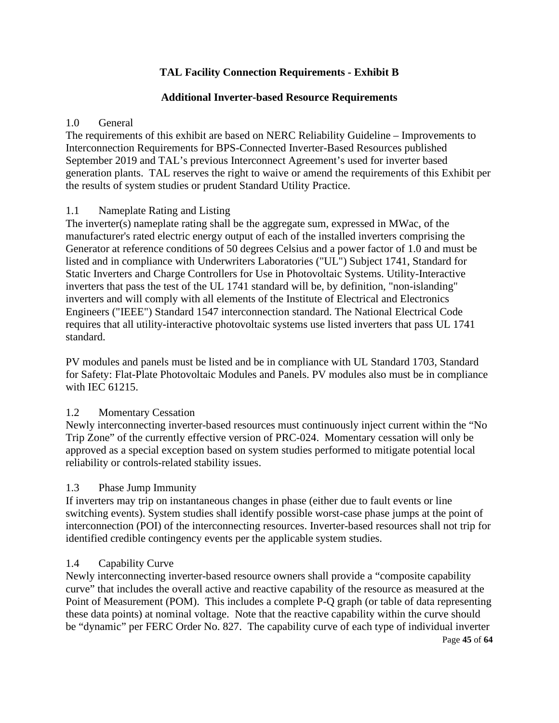# **TAL Facility Connection Requirements - Exhibit B**

# **Additional Inverter-based Resource Requirements**

# 1.0 General

The requirements of this exhibit are based on NERC Reliability Guideline – Improvements to Interconnection Requirements for BPS-Connected Inverter-Based Resources published September 2019 and TAL's previous Interconnect Agreement's used for inverter based generation plants. TAL reserves the right to waive or amend the requirements of this Exhibit per the results of system studies or prudent Standard Utility Practice.

# 1.1 Nameplate Rating and Listing

The inverter(s) nameplate rating shall be the aggregate sum, expressed in MWac, of the manufacturer's rated electric energy output of each of the installed inverters comprising the Generator at reference conditions of 50 degrees Celsius and a power factor of 1.0 and must be listed and in compliance with Underwriters Laboratories ("UL") Subject 1741, Standard for Static Inverters and Charge Controllers for Use in Photovoltaic Systems. Utility-Interactive inverters that pass the test of the UL 1741 standard will be, by definition, "non-islanding" inverters and will comply with all elements of the Institute of Electrical and Electronics Engineers ("IEEE") Standard 1547 interconnection standard. The National Electrical Code requires that all utility-interactive photovoltaic systems use listed inverters that pass UL 1741 standard.

PV modules and panels must be listed and be in compliance with UL Standard 1703, Standard for Safety: Flat-Plate Photovoltaic Modules and Panels. PV modules also must be in compliance with IEC 61215.

# 1.2 Momentary Cessation

Newly interconnecting inverter-based resources must continuously inject current within the "No Trip Zone" of the currently effective version of PRC-024. Momentary cessation will only be approved as a special exception based on system studies performed to mitigate potential local reliability or controls-related stability issues.

# 1.3 Phase Jump Immunity

If inverters may trip on instantaneous changes in phase (either due to fault events or line switching events). System studies shall identify possible worst-case phase jumps at the point of interconnection (POI) of the interconnecting resources. Inverter-based resources shall not trip for identified credible contingency events per the applicable system studies.

# 1.4 Capability Curve

Page **45** of **64** Newly interconnecting inverter-based resource owners shall provide a "composite capability curve" that includes the overall active and reactive capability of the resource as measured at the Point of Measurement (POM). This includes a complete P-Q graph (or table of data representing these data points) at nominal voltage. Note that the reactive capability within the curve should be "dynamic" per FERC Order No. 827. The capability curve of each type of individual inverter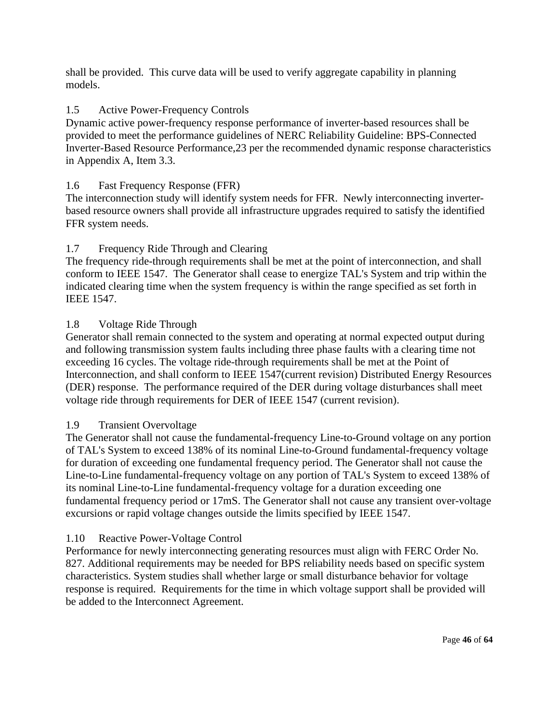shall be provided. This curve data will be used to verify aggregate capability in planning models.

# 1.5 Active Power-Frequency Controls

Dynamic active power-frequency response performance of inverter-based resources shall be provided to meet the performance guidelines of NERC Reliability Guideline: BPS-Connected Inverter-Based Resource Performance,23 per the recommended dynamic response characteristics in Appendix A, Item 3.3.

# 1.6 Fast Frequency Response (FFR)

The interconnection study will identify system needs for FFR. Newly interconnecting inverterbased resource owners shall provide all infrastructure upgrades required to satisfy the identified FFR system needs.

# 1.7 Frequency Ride Through and Clearing

The frequency ride-through requirements shall be met at the point of interconnection, and shall conform to IEEE 1547. The Generator shall cease to energize TAL's System and trip within the indicated clearing time when the system frequency is within the range specified as set forth in IEEE 1547.

# 1.8 Voltage Ride Through

Generator shall remain connected to the system and operating at normal expected output during and following transmission system faults including three phase faults with a clearing time not exceeding 16 cycles. The voltage ride-through requirements shall be met at the Point of Interconnection, and shall conform to IEEE 1547(current revision) Distributed Energy Resources (DER) response. The performance required of the DER during voltage disturbances shall meet voltage ride through requirements for DER of IEEE 1547 (current revision).

# 1.9 Transient Overvoltage

The Generator shall not cause the fundamental-frequency Line-to-Ground voltage on any portion of TAL's System to exceed 138% of its nominal Line-to-Ground fundamental-frequency voltage for duration of exceeding one fundamental frequency period. The Generator shall not cause the Line-to-Line fundamental-frequency voltage on any portion of TAL's System to exceed 138% of its nominal Line-to-Line fundamental-frequency voltage for a duration exceeding one fundamental frequency period or 17mS. The Generator shall not cause any transient over-voltage excursions or rapid voltage changes outside the limits specified by IEEE 1547.

# 1.10 Reactive Power-Voltage Control

Performance for newly interconnecting generating resources must align with FERC Order No. 827. Additional requirements may be needed for BPS reliability needs based on specific system characteristics. System studies shall whether large or small disturbance behavior for voltage response is required. Requirements for the time in which voltage support shall be provided will be added to the Interconnect Agreement.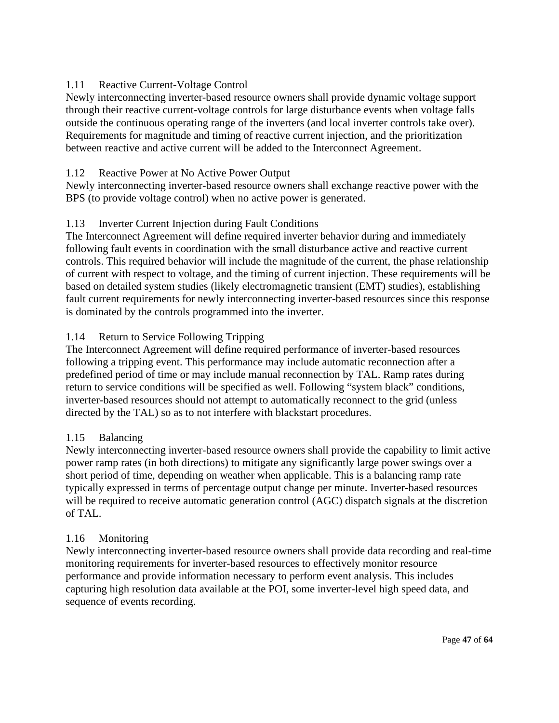# 1.11 Reactive Current-Voltage Control

Newly interconnecting inverter-based resource owners shall provide dynamic voltage support through their reactive current-voltage controls for large disturbance events when voltage falls outside the continuous operating range of the inverters (and local inverter controls take over). Requirements for magnitude and timing of reactive current injection, and the prioritization between reactive and active current will be added to the Interconnect Agreement.

# 1.12 Reactive Power at No Active Power Output

Newly interconnecting inverter-based resource owners shall exchange reactive power with the BPS (to provide voltage control) when no active power is generated.

# 1.13 Inverter Current Injection during Fault Conditions

The Interconnect Agreement will define required inverter behavior during and immediately following fault events in coordination with the small disturbance active and reactive current controls. This required behavior will include the magnitude of the current, the phase relationship of current with respect to voltage, and the timing of current injection. These requirements will be based on detailed system studies (likely electromagnetic transient (EMT) studies), establishing fault current requirements for newly interconnecting inverter-based resources since this response is dominated by the controls programmed into the inverter.

# 1.14 Return to Service Following Tripping

The Interconnect Agreement will define required performance of inverter-based resources following a tripping event. This performance may include automatic reconnection after a predefined period of time or may include manual reconnection by TAL. Ramp rates during return to service conditions will be specified as well. Following "system black" conditions, inverter-based resources should not attempt to automatically reconnect to the grid (unless directed by the TAL) so as to not interfere with blackstart procedures.

# 1.15 Balancing

Newly interconnecting inverter-based resource owners shall provide the capability to limit active power ramp rates (in both directions) to mitigate any significantly large power swings over a short period of time, depending on weather when applicable. This is a balancing ramp rate typically expressed in terms of percentage output change per minute. Inverter-based resources will be required to receive automatic generation control (AGC) dispatch signals at the discretion of TAL.

# 1.16 Monitoring

Newly interconnecting inverter-based resource owners shall provide data recording and real-time monitoring requirements for inverter-based resources to effectively monitor resource performance and provide information necessary to perform event analysis. This includes capturing high resolution data available at the POI, some inverter-level high speed data, and sequence of events recording.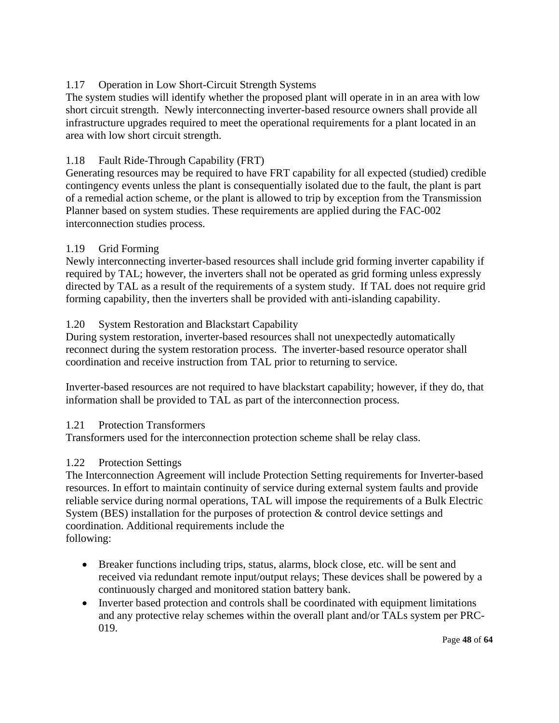# 1.17 Operation in Low Short-Circuit Strength Systems

The system studies will identify whether the proposed plant will operate in in an area with low short circuit strength. Newly interconnecting inverter-based resource owners shall provide all infrastructure upgrades required to meet the operational requirements for a plant located in an area with low short circuit strength.

# 1.18 Fault Ride-Through Capability (FRT)

Generating resources may be required to have FRT capability for all expected (studied) credible contingency events unless the plant is consequentially isolated due to the fault, the plant is part of a remedial action scheme, or the plant is allowed to trip by exception from the Transmission Planner based on system studies. These requirements are applied during the FAC-002 interconnection studies process.

# 1.19 Grid Forming

Newly interconnecting inverter-based resources shall include grid forming inverter capability if required by TAL; however, the inverters shall not be operated as grid forming unless expressly directed by TAL as a result of the requirements of a system study. If TAL does not require grid forming capability, then the inverters shall be provided with anti-islanding capability.

# 1.20 System Restoration and Blackstart Capability

During system restoration, inverter-based resources shall not unexpectedly automatically reconnect during the system restoration process. The inverter-based resource operator shall coordination and receive instruction from TAL prior to returning to service.

Inverter-based resources are not required to have blackstart capability; however, if they do, that information shall be provided to TAL as part of the interconnection process.

# 1.21 Protection Transformers

Transformers used for the interconnection protection scheme shall be relay class.

# 1.22 Protection Settings

The Interconnection Agreement will include Protection Setting requirements for Inverter-based resources. In effort to maintain continuity of service during external system faults and provide reliable service during normal operations, TAL will impose the requirements of a Bulk Electric System (BES) installation for the purposes of protection & control device settings and coordination. Additional requirements include the following:

- Breaker functions including trips, status, alarms, block close, etc. will be sent and received via redundant remote input/output relays; These devices shall be powered by a continuously charged and monitored station battery bank.
- Inverter based protection and controls shall be coordinated with equipment limitations and any protective relay schemes within the overall plant and/or TALs system per PRC-019.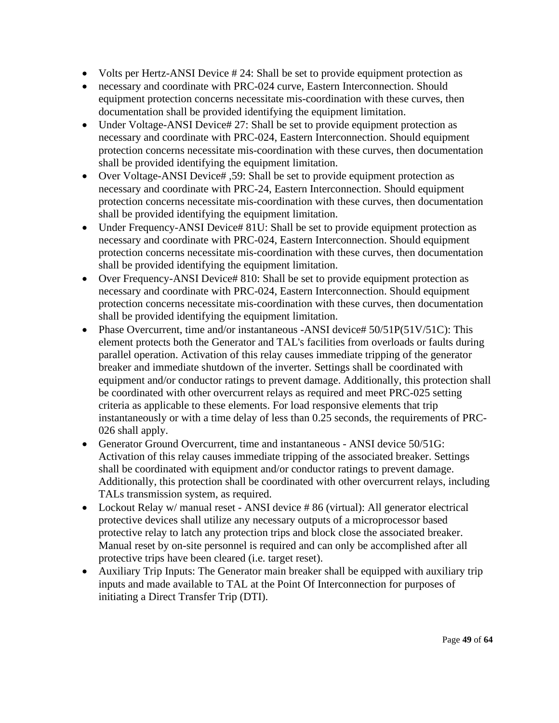- Volts per Hertz-ANSI Device # 24: Shall be set to provide equipment protection as
- necessary and coordinate with PRC-024 curve, Eastern Interconnection. Should equipment protection concerns necessitate mis-coordination with these curves, then documentation shall be provided identifying the equipment limitation.
- Under Voltage-ANSI Device# 27: Shall be set to provide equipment protection as necessary and coordinate with PRC-024, Eastern Interconnection. Should equipment protection concerns necessitate mis-coordination with these curves, then documentation shall be provided identifying the equipment limitation.
- Over Voltage-ANSI Device#, 59: Shall be set to provide equipment protection as necessary and coordinate with PRC-24, Eastern Interconnection. Should equipment protection concerns necessitate mis-coordination with these curves, then documentation shall be provided identifying the equipment limitation.
- Under Frequency-ANSI Device# 81U: Shall be set to provide equipment protection as necessary and coordinate with PRC-024, Eastern Interconnection. Should equipment protection concerns necessitate mis-coordination with these curves, then documentation shall be provided identifying the equipment limitation.
- Over Frequency-ANSI Device# 810: Shall be set to provide equipment protection as necessary and coordinate with PRC-024, Eastern Interconnection. Should equipment protection concerns necessitate mis-coordination with these curves, then documentation shall be provided identifying the equipment limitation.
- Phase Overcurrent, time and/or instantaneous -ANSI device# 50/51P(51V/51C): This element protects both the Generator and TAL's facilities from overloads or faults during parallel operation. Activation of this relay causes immediate tripping of the generator breaker and immediate shutdown of the inverter. Settings shall be coordinated with equipment and/or conductor ratings to prevent damage. Additionally, this protection shall be coordinated with other overcurrent relays as required and meet PRC-025 setting criteria as applicable to these elements. For load responsive elements that trip instantaneously or with a time delay of less than 0.25 seconds, the requirements of PRC-026 shall apply.
- Generator Ground Overcurrent, time and instantaneous ANSI device 50/51G: Activation of this relay causes immediate tripping of the associated breaker. Settings shall be coordinated with equipment and/or conductor ratings to prevent damage. Additionally, this protection shall be coordinated with other overcurrent relays, including TALs transmission system, as required.
- Lockout Relay w/ manual reset ANSI device #86 (virtual): All generator electrical protective devices shall utilize any necessary outputs of a microprocessor based protective relay to latch any protection trips and block close the associated breaker. Manual reset by on-site personnel is required and can only be accomplished after all protective trips have been cleared (i.e. target reset).
- Auxiliary Trip Inputs: The Generator main breaker shall be equipped with auxiliary trip inputs and made available to TAL at the Point Of Interconnection for purposes of initiating a Direct Transfer Trip (DTI).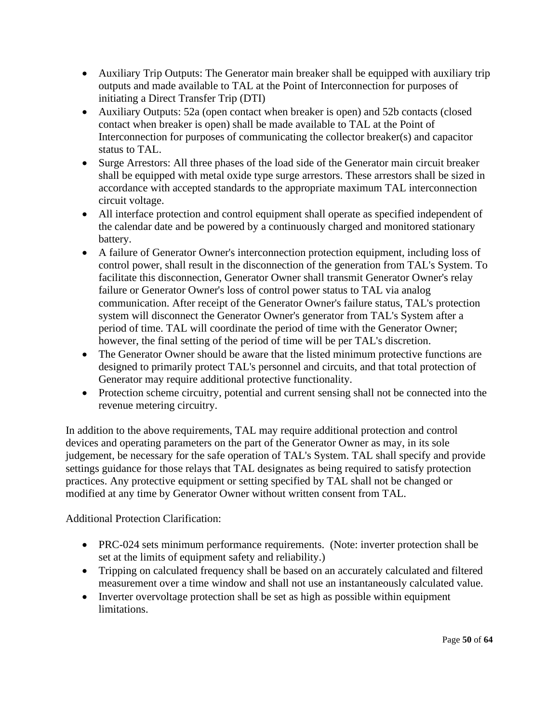- Auxiliary Trip Outputs: The Generator main breaker shall be equipped with auxiliary trip outputs and made available to TAL at the Point of Interconnection for purposes of initiating a Direct Transfer Trip (DTI)
- Auxiliary Outputs: 52a (open contact when breaker is open) and 52b contacts (closed contact when breaker is open) shall be made available to TAL at the Point of Interconnection for purposes of communicating the collector breaker(s) and capacitor status to TAL.
- Surge Arrestors: All three phases of the load side of the Generator main circuit breaker shall be equipped with metal oxide type surge arrestors. These arrestors shall be sized in accordance with accepted standards to the appropriate maximum TAL interconnection circuit voltage.
- All interface protection and control equipment shall operate as specified independent of the calendar date and be powered by a continuously charged and monitored stationary battery.
- A failure of Generator Owner's interconnection protection equipment, including loss of control power, shall result in the disconnection of the generation from TAL's System. To facilitate this disconnection, Generator Owner shall transmit Generator Owner's relay failure or Generator Owner's loss of control power status to TAL via analog communication. After receipt of the Generator Owner's failure status, TAL's protection system will disconnect the Generator Owner's generator from TAL's System after a period of time. TAL will coordinate the period of time with the Generator Owner; however, the final setting of the period of time will be per TAL's discretion.
- The Generator Owner should be aware that the listed minimum protective functions are designed to primarily protect TAL's personnel and circuits, and that total protection of Generator may require additional protective functionality.
- Protection scheme circuitry, potential and current sensing shall not be connected into the revenue metering circuitry.

In addition to the above requirements, TAL may require additional protection and control devices and operating parameters on the part of the Generator Owner as may, in its sole judgement, be necessary for the safe operation of TAL's System. TAL shall specify and provide settings guidance for those relays that TAL designates as being required to satisfy protection practices. Any protective equipment or setting specified by TAL shall not be changed or modified at any time by Generator Owner without written consent from TAL.

Additional Protection Clarification:

- PRC-024 sets minimum performance requirements. (Note: inverter protection shall be set at the limits of equipment safety and reliability.)
- Tripping on calculated frequency shall be based on an accurately calculated and filtered measurement over a time window and shall not use an instantaneously calculated value.
- Inverter overvoltage protection shall be set as high as possible within equipment limitations.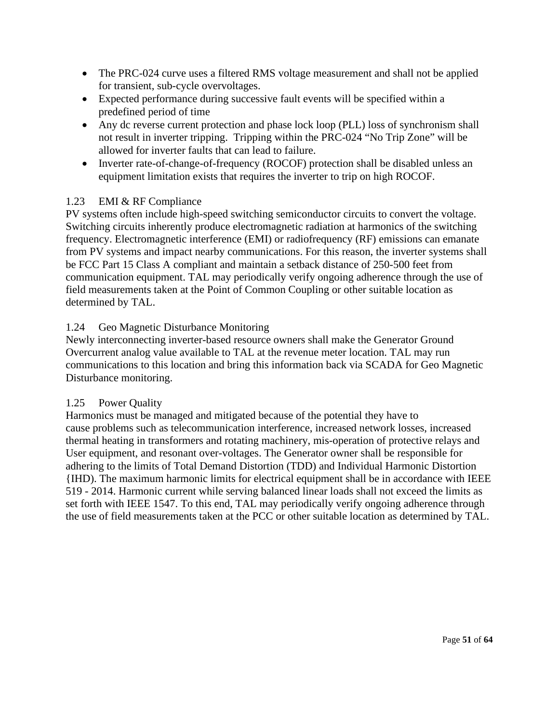- The PRC-024 curve uses a filtered RMS voltage measurement and shall not be applied for transient, sub-cycle overvoltages.
- Expected performance during successive fault events will be specified within a predefined period of time
- Any dc reverse current protection and phase lock loop (PLL) loss of synchronism shall not result in inverter tripping. Tripping within the PRC-024 "No Trip Zone" will be allowed for inverter faults that can lead to failure.
- Inverter rate-of-change-of-frequency (ROCOF) protection shall be disabled unless an equipment limitation exists that requires the inverter to trip on high ROCOF.

# 1.23 EMI & RF Compliance

PV systems often include high-speed switching semiconductor circuits to convert the voltage. Switching circuits inherently produce electromagnetic radiation at harmonics of the switching frequency. Electromagnetic interference (EMI) or radiofrequency (RF) emissions can emanate from PV systems and impact nearby communications. For this reason, the inverter systems shall be FCC Part 15 Class A compliant and maintain a setback distance of 250-500 feet from communication equipment. TAL may periodically verify ongoing adherence through the use of field measurements taken at the Point of Common Coupling or other suitable location as determined by TAL.

#### 1.24 Geo Magnetic Disturbance Monitoring

Newly interconnecting inverter-based resource owners shall make the Generator Ground Overcurrent analog value available to TAL at the revenue meter location. TAL may run communications to this location and bring this information back via SCADA for Geo Magnetic Disturbance monitoring.

#### 1.25 Power Quality

Harmonics must be managed and mitigated because of the potential they have to cause problems such as telecommunication interference, increased network losses, increased thermal heating in transformers and rotating machinery, mis-operation of protective relays and User equipment, and resonant over-voltages. The Generator owner shall be responsible for adhering to the limits of Total Demand Distortion (TDD) and Individual Harmonic Distortion {IHD). The maximum harmonic limits for electrical equipment shall be in accordance with IEEE 519 - 2014. Harmonic current while serving balanced linear loads shall not exceed the limits as set forth with IEEE 1547. To this end, TAL may periodically verify ongoing adherence through the use of field measurements taken at the PCC or other suitable location as determined by TAL.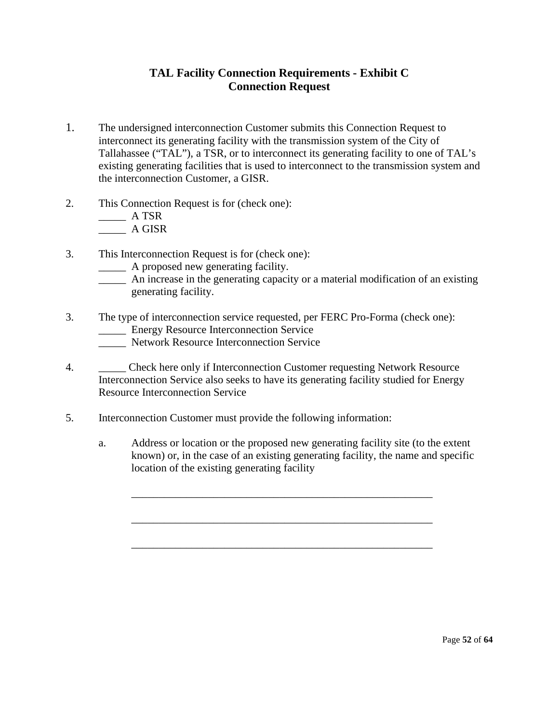# **TAL Facility Connection Requirements - Exhibit C Connection Request**

- 1. The undersigned interconnection Customer submits this Connection Request to interconnect its generating facility with the transmission system of the City of Tallahassee ("TAL"), a TSR, or to interconnect its generating facility to one of TAL's existing generating facilities that is used to interconnect to the transmission system and the interconnection Customer, a GISR.
- 2. This Connection Request is for (check one):

 $\overline{\phantom{a}}$  A TSR

 $\frac{1}{2}$  A GISR

- 3. This Interconnection Request is for (check one):
	- \_\_\_\_\_ A proposed new generating facility.
	- \_\_\_\_\_ An increase in the generating capacity or a material modification of an existing generating facility.
- 3. The type of interconnection service requested, per FERC Pro-Forma (check one):
	- \_\_\_\_\_ Energy Resource Interconnection Service
	- \_\_\_\_\_ Network Resource Interconnection Service
- 4. Check here only if Interconnection Customer requesting Network Resource Interconnection Service also seeks to have its generating facility studied for Energy Resource Interconnection Service
- 5. Interconnection Customer must provide the following information:
	- a. Address or location or the proposed new generating facility site (to the extent known) or, in the case of an existing generating facility, the name and specific location of the existing generating facility

\_\_\_\_\_\_\_\_\_\_\_\_\_\_\_\_\_\_\_\_\_\_\_\_\_\_\_\_\_\_\_\_\_\_\_\_\_\_\_\_\_\_\_\_\_\_\_\_\_\_\_\_\_\_\_

\_\_\_\_\_\_\_\_\_\_\_\_\_\_\_\_\_\_\_\_\_\_\_\_\_\_\_\_\_\_\_\_\_\_\_\_\_\_\_\_\_\_\_\_\_\_\_\_\_\_\_\_\_\_\_

\_\_\_\_\_\_\_\_\_\_\_\_\_\_\_\_\_\_\_\_\_\_\_\_\_\_\_\_\_\_\_\_\_\_\_\_\_\_\_\_\_\_\_\_\_\_\_\_\_\_\_\_\_\_\_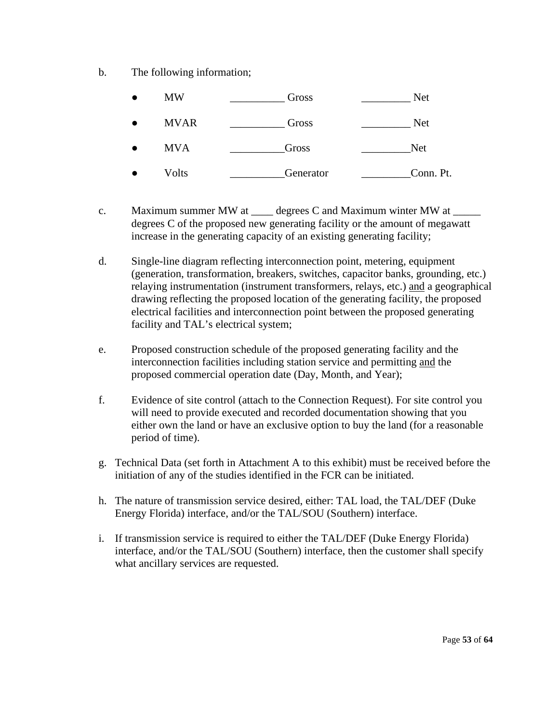b. The following information;

| <b>MW</b>   | Gross     | Net        |
|-------------|-----------|------------|
| <b>MVAR</b> | Gross     | <b>Net</b> |
| <b>MVA</b>  | Gross     | <b>Net</b> |
| Volts       | Generator | Conn. Pt.  |

- c. Maximum summer MW at degrees C and Maximum winter MW at  $\equiv$ degrees C of the proposed new generating facility or the amount of megawatt increase in the generating capacity of an existing generating facility;
- d. Single-line diagram reflecting interconnection point, metering, equipment (generation, transformation, breakers, switches, capacitor banks, grounding, etc.) relaying instrumentation (instrument transformers, relays, etc.) and a geographical drawing reflecting the proposed location of the generating facility, the proposed electrical facilities and interconnection point between the proposed generating facility and TAL's electrical system;
- e. Proposed construction schedule of the proposed generating facility and the interconnection facilities including station service and permitting and the proposed commercial operation date (Day, Month, and Year);
- f. Evidence of site control (attach to the Connection Request). For site control you will need to provide executed and recorded documentation showing that you either own the land or have an exclusive option to buy the land (for a reasonable period of time).
- g. Technical Data (set forth in Attachment A to this exhibit) must be received before the initiation of any of the studies identified in the FCR can be initiated.
- h. The nature of transmission service desired, either: TAL load, the TAL/DEF (Duke Energy Florida) interface, and/or the TAL/SOU (Southern) interface.
- i. If transmission service is required to either the TAL/DEF (Duke Energy Florida) interface, and/or the TAL/SOU (Southern) interface, then the customer shall specify what ancillary services are requested.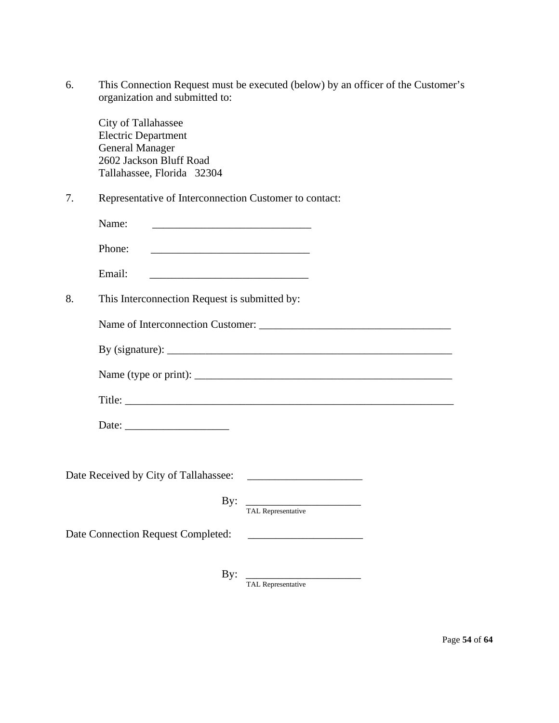| This Connection Request must be executed (below) by an officer of the Customer's |
|----------------------------------------------------------------------------------|
| organization and submitted to:                                                   |

City of Tallahassee Electric Department General Manager 2602 Jackson Bluff Road Tallahassee, Florida 32304

7. Representative of Interconnection Customer to contact:

| $\overline{\phantom{0}}$<br>- 411 -<br>$\begin{array}{ccc} \multicolumn{3}{c}{} & \multicolumn{3}{c}{} & \multicolumn{3}{c}{} & \multicolumn{3}{c}{} & \multicolumn{3}{c}{} & \multicolumn{3}{c}{} & \multicolumn{3}{c}{} & \multicolumn{3}{c}{} & \multicolumn{3}{c}{} & \multicolumn{3}{c}{} & \multicolumn{3}{c}{} & \multicolumn{3}{c}{} & \multicolumn{3}{c}{} & \multicolumn{3}{c}{} & \multicolumn{3}{c}{} & \multicolumn{3}{c}{} & \multicolumn{3}{c}{} & \multicolumn{3}{c}{} & \multicolumn{3}{c}{} & \multicolumn$ |
|-------------------------------------------------------------------------------------------------------------------------------------------------------------------------------------------------------------------------------------------------------------------------------------------------------------------------------------------------------------------------------------------------------------------------------------------------------------------------------------------------------------------------------|
|-------------------------------------------------------------------------------------------------------------------------------------------------------------------------------------------------------------------------------------------------------------------------------------------------------------------------------------------------------------------------------------------------------------------------------------------------------------------------------------------------------------------------------|

8. This Interconnection Request is submitted by:

Name of Interconnection Customer: \_\_\_\_\_\_\_\_\_\_\_\_\_\_\_\_\_\_\_\_\_\_\_\_\_\_\_\_\_\_\_\_\_\_\_

| By (signature): |  |
|-----------------|--|
|                 |  |

| Name<br>tvne)<br>or print |  |
|---------------------------|--|
|                           |  |

Title: \_\_\_\_\_\_\_\_\_\_\_\_\_\_\_\_\_\_\_\_\_\_\_\_\_\_\_\_\_\_\_\_\_\_\_\_\_\_\_\_\_\_\_\_\_\_\_\_\_\_\_\_\_\_\_\_\_\_\_\_

Date: \_\_\_\_\_\_\_\_\_\_\_\_\_\_\_\_\_\_\_

Date Received by City of Tallahassee: \_\_\_\_\_\_\_\_\_\_\_\_\_\_\_\_\_\_\_\_\_

 By: \_\_\_\_\_\_\_\_\_\_\_\_\_\_\_\_\_\_\_\_\_ TAL Representative

Date Connection Request Completed: \_\_\_\_\_\_\_\_\_\_\_\_\_\_\_\_\_\_\_\_\_

By: \_\_\_\_\_\_\_\_\_\_\_\_\_\_\_\_\_\_\_\_\_

TAL Representative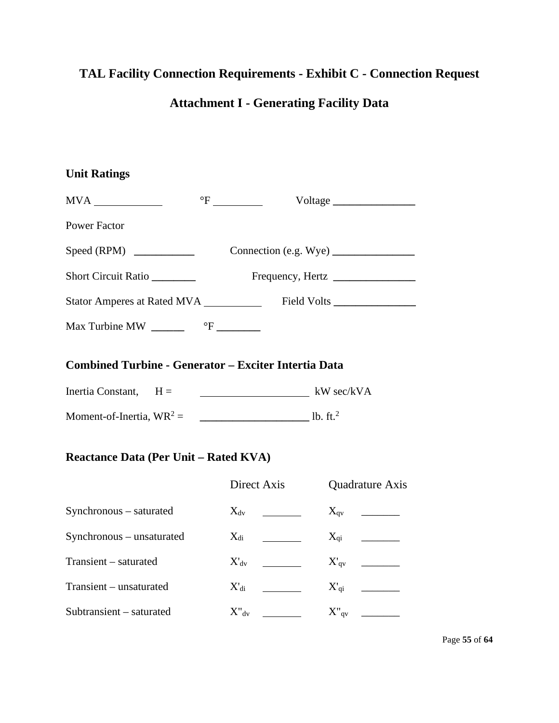# **TAL Facility Connection Requirements - Exhibit C - Connection Request Attachment I - Generating Facility Data**

| <b>Unit Ratings</b>                                         |                                                                                                       |                 |
|-------------------------------------------------------------|-------------------------------------------------------------------------------------------------------|-----------------|
|                                                             | $\mathrm{P}$ $\frac{1}{\sqrt{1-\frac{1}{2}}\sqrt{1-\frac{1}{2}}\left(\frac{1}{2}-\frac{1}{2}\right)}$ | Voltage         |
| <b>Power Factor</b>                                         |                                                                                                       |                 |
|                                                             |                                                                                                       |                 |
| Short Circuit Ratio                                         |                                                                                                       |                 |
|                                                             |                                                                                                       |                 |
| Max Turbine MW $\frac{C}{C}$ <sup>o</sup> F $\frac{C}{C}$   |                                                                                                       |                 |
| <b>Combined Turbine - Generator - Exciter Intertia Data</b> |                                                                                                       |                 |
|                                                             |                                                                                                       |                 |
|                                                             |                                                                                                       |                 |
| <b>Reactance Data (Per Unit - Rated KVA)</b>                |                                                                                                       |                 |
|                                                             | Direct Axis                                                                                           | Quadrature Axis |
| Synchronous - saturated                                     |                                                                                                       |                 |
| Synchronous - unsaturated                                   |                                                                                                       |                 |
| Transient - saturated                                       |                                                                                                       |                 |
| Transient - unsaturated                                     |                                                                                                       |                 |
| Subtransient - saturated                                    | $X''_{\rm dv}$                                                                                        | $X''_{qv}$      |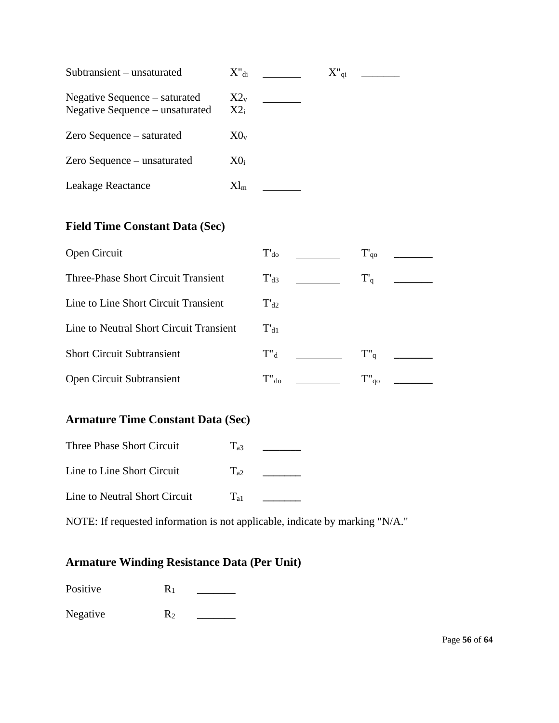| Subtransient – unsaturated                                       | $X^{\prime}$ <sub>di</sub> | $X_{q_1}$ |  |
|------------------------------------------------------------------|----------------------------|-----------|--|
| Negative Sequence – saturated<br>Negative Sequence – unsaturated | $X2_{v}$<br>$X2_i$         |           |  |
| Zero Sequence – saturated                                        | $X0_{v}$                   |           |  |
| Zero Sequence – unsaturated                                      | $X0_i$                     |           |  |
| Leakage Reactance                                                | $Xl_{m}$                   |           |  |

# **Field Time Constant Data (Sec)**

| Open Circuit                            | $T_{d0}$   | $T_{q0}$ |
|-----------------------------------------|------------|----------|
| Three-Phase Short Circuit Transient     | $T_{d3}$   | $T_q$    |
| Line to Line Short Circuit Transient    | $T_{d2}$   |          |
| Line to Neutral Short Circuit Transient | $T_{d1}$   |          |
| <b>Short Circuit Subtransient</b>       | $T''_d$    | $T''_q$  |
| Open Circuit Subtransient               | $T''_{d0}$ | qo       |

# **Armature Time Constant Data (Sec)**

| Three Phase Short Circuit     | $\int$ a3 |  |
|-------------------------------|-----------|--|
| Line to Line Short Circuit    | $T_{a2}$  |  |
| Line to Neutral Short Circuit | $T_{21}$  |  |

NOTE: If requested information is not applicable, indicate by marking "N/A."

# **Armature Winding Resistance Data (Per Unit)**

Positive R1 \_\_\_\_\_\_\_

Negative R2 \_\_\_\_\_\_\_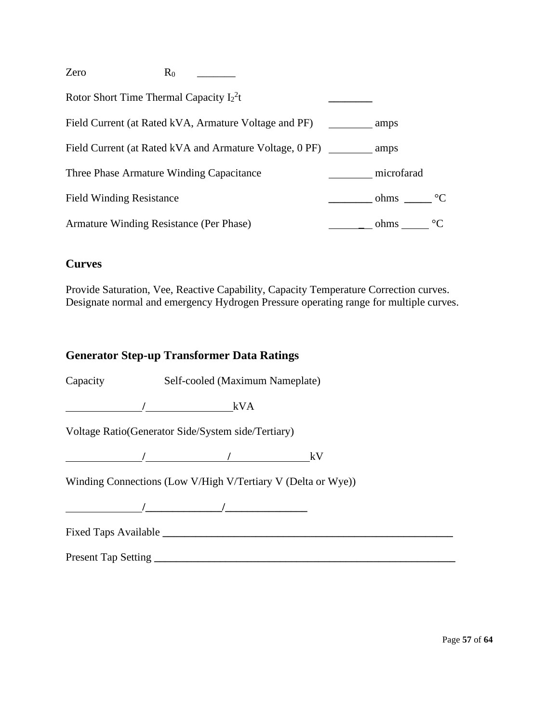| Zero                                       | $R_0$ |                                                         |            |                 |
|--------------------------------------------|-------|---------------------------------------------------------|------------|-----------------|
| Rotor Short Time Thermal Capacity $I_2^2t$ |       |                                                         |            |                 |
|                                            |       | Field Current (at Rated kVA, Armature Voltage and PF)   | amps       |                 |
|                                            |       | Field Current (at Rated kVA and Armature Voltage, 0 PF) | amps       |                 |
| Three Phase Armature Winding Capacitance   |       |                                                         | microfarad |                 |
| <b>Field Winding Resistance</b>            |       |                                                         | ohms       | $^{\circ}C$     |
| Armature Winding Resistance (Per Phase)    |       |                                                         | ohms       | $\rm ^{\circ}C$ |

# **Curves**

Provide Saturation, Vee, Reactive Capability, Capacity Temperature Correction curves. Designate normal and emergency Hydrogen Pressure operating range for multiple curves.

# **Generator Step-up Transformer Data Ratings**

Capacity Self-cooled (Maximum Nameplate)

**/** kVA

Voltage Ratio(Generator Side/System side/Tertiary)

**/ /** kV

Winding Connections (Low V/High V/Tertiary V (Delta or Wye))

**/\_\_\_\_\_\_\_\_\_\_\_\_\_\_/\_\_\_\_\_\_\_\_\_\_\_\_\_\_\_**

Fixed Taps Available **\_\_\_\_\_\_\_\_\_\_\_\_\_\_\_\_\_\_\_\_\_\_\_\_\_\_\_\_\_\_\_\_\_\_\_\_\_\_\_\_\_\_\_\_\_\_\_\_\_\_\_\_\_**

Present Tap Setting **\_\_\_\_\_\_\_\_\_\_\_\_\_\_\_\_\_\_\_\_\_\_\_\_\_\_\_\_\_\_\_\_\_\_\_\_\_\_\_\_\_\_\_\_\_\_\_\_\_\_\_\_\_\_\_**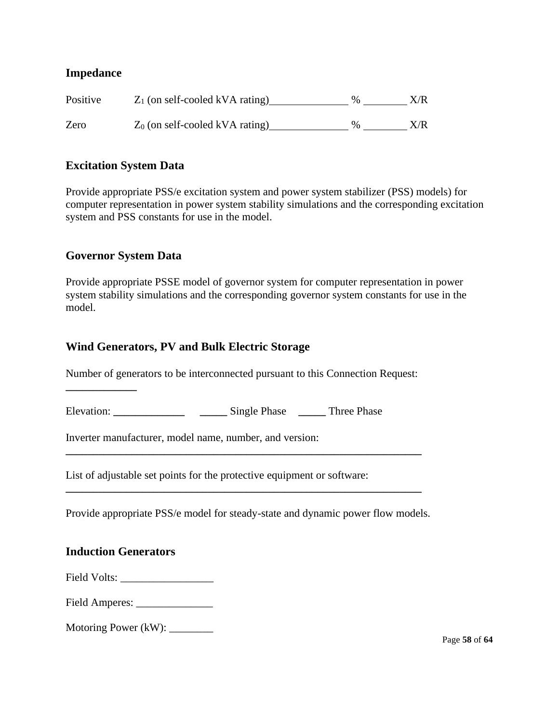# **Impedance**

| Positive | $Z_1$ (on self-cooled kVA rating) | $\%$ | X/R |
|----------|-----------------------------------|------|-----|
| Zero     | $Z_0$ (on self-cooled kVA rating) | $\%$ | X/R |

#### **Excitation System Data**

Provide appropriate PSS/e excitation system and power system stabilizer (PSS) models) for computer representation in power system stability simulations and the corresponding excitation system and PSS constants for use in the model.

#### **Governor System Data**

**\_\_\_\_\_\_\_\_\_\_\_\_\_**

Provide appropriate PSSE model of governor system for computer representation in power system stability simulations and the corresponding governor system constants for use in the model.

# **Wind Generators, PV and Bulk Electric Storage**

Number of generators to be interconnected pursuant to this Connection Request:

**\_\_\_\_\_\_\_\_\_\_\_\_\_\_\_\_\_\_\_\_\_\_\_\_\_\_\_\_\_\_\_\_\_\_\_\_\_\_\_\_\_\_\_\_\_\_\_\_\_\_\_\_\_\_\_\_\_\_\_\_\_\_\_\_\_**

**\_\_\_\_\_\_\_\_\_\_\_\_\_\_\_\_\_\_\_\_\_\_\_\_\_\_\_\_\_\_\_\_\_\_\_\_\_\_\_\_\_\_\_\_\_\_\_\_\_\_\_\_\_\_\_\_\_\_\_\_\_\_\_\_\_**

Elevation: **\_\_\_\_\_\_\_\_\_\_\_\_\_ \_\_\_\_\_** Single Phase **\_\_\_\_\_** Three Phase

Inverter manufacturer, model name, number, and version:

List of adjustable set points for the protective equipment or software:

Provide appropriate PSS/e model for steady-state and dynamic power flow models.

#### **Induction Generators**

Field Volts: \_\_\_\_\_\_\_\_\_\_\_\_\_\_\_\_\_

Field Amperes: \_\_\_\_\_\_\_\_\_\_\_\_\_\_

Motoring Power (kW): \_\_\_\_\_\_\_\_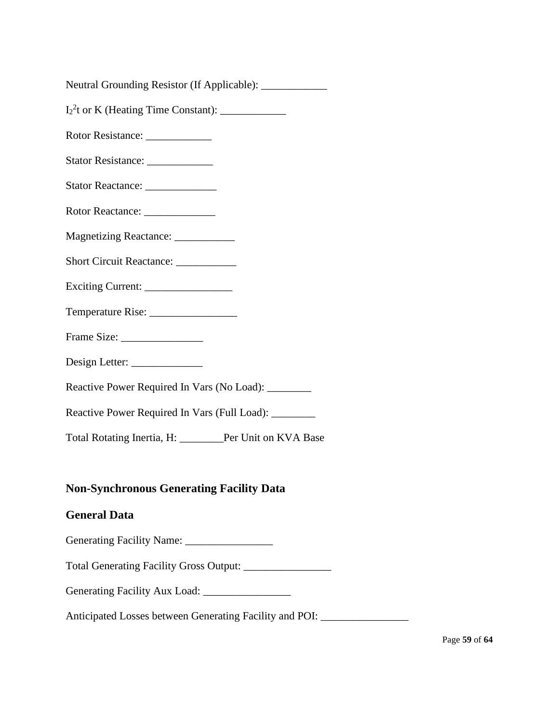| Neutral Grounding Resistor (If Applicable): |  |  |
|---------------------------------------------|--|--|
|                                             |  |  |

I2 2 t or K (Heating Time Constant): \_\_\_\_\_\_\_\_\_\_\_\_

Rotor Resistance: \_\_\_\_\_\_\_\_\_\_\_\_

- Stator Resistance: \_\_\_\_\_\_\_\_\_\_\_\_
- Stator Reactance: \_\_\_\_\_\_\_\_\_\_\_\_\_
- Rotor Reactance:
- Magnetizing Reactance: \_\_\_\_\_\_\_\_\_\_\_
- Short Circuit Reactance: \_\_\_\_\_\_\_\_\_\_\_
- Exciting Current: \_\_\_\_\_\_\_\_\_\_\_\_\_\_\_\_
- Temperature Rise:
- Frame Size:
- Design Letter:
- Reactive Power Required In Vars (No Load): \_\_\_\_\_\_\_\_
- Reactive Power Required In Vars (Full Load): \_\_\_\_\_\_\_\_

Total Rotating Inertia, H: \_\_\_\_\_\_\_\_Per Unit on KVA Base

# **Non-Synchronous Generating Facility Data**

#### **General Data**

Generating Facility Name: \_\_\_\_\_\_\_\_\_\_\_\_\_\_\_\_

Total Generating Facility Gross Output: \_\_\_\_\_\_\_\_\_\_\_\_\_\_\_\_

Generating Facility Aux Load: \_\_\_\_\_\_\_\_\_\_\_\_\_\_\_\_

Anticipated Losses between Generating Facility and POI: \_\_\_\_\_\_\_\_\_\_\_\_\_\_\_\_\_\_\_\_\_\_\_\_\_

Page **59** of **64**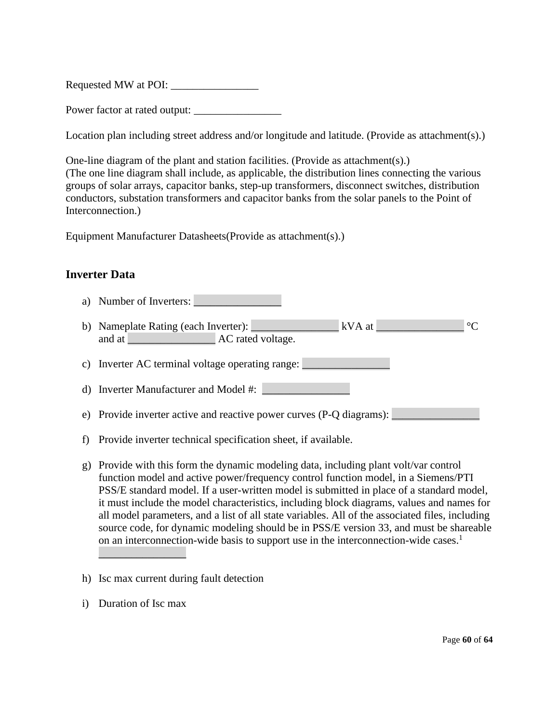Requested MW at POI: \_\_\_\_\_\_\_\_\_\_\_\_\_\_\_\_

Power factor at rated output:

Location plan including street address and/or longitude and latitude. (Provide as attachment(s).)

One-line diagram of the plant and station facilities. (Provide as attachment(s).) (The one line diagram shall include, as applicable, the distribution lines connecting the various groups of solar arrays, capacitor banks, step-up transformers, disconnect switches, distribution conductors, substation transformers and capacitor banks from the solar panels to the Point of Interconnection.)

Equipment Manufacturer Datasheets(Provide as attachment(s).)

# **Inverter Data**

- a) Number of Inverters:
- b) Nameplate Rating (each Inverter): <br>  $\begin{array}{ccc} kVA \atop \end{array}$ and at  $AC$  rated voltage.
- c) Inverter AC terminal voltage operating range:
- d) Inverter Manufacturer and Model #:
- e) Provide inverter active and reactive power curves (P-Q diagrams): \_\_\_\_\_\_\_\_\_\_\_
- f) Provide inverter technical specification sheet, if available.
- g) Provide with this form the dynamic modeling data, including plant volt/var control function model and active power/frequency control function model, in a Siemens/PTI PSS/E standard model. If a user-written model is submitted in place of a standard model, it must include the model characteristics, including block diagrams, values and names for all model parameters, and a list of all state variables. All of the associated files, including source code, for dynamic modeling should be in PSS/E version 33, and must be shareable on an interconnection-wide basis to support use in the interconnection-wide cases.<sup>1</sup>
- h) Isc max current during fault detection
- i) Duration of Isc max

 $\overline{\phantom{a}}$  , where  $\overline{\phantom{a}}$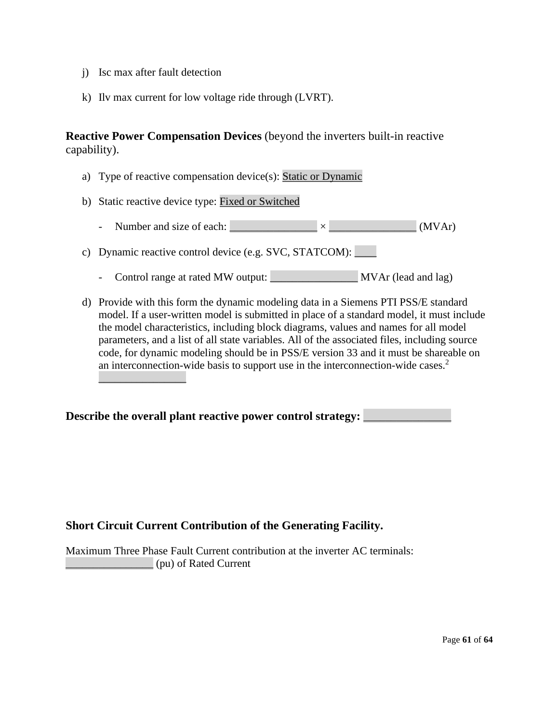j) Isc max after fault detection

 $\overline{\phantom{a}}$  , where  $\overline{\phantom{a}}$ 

k) Ilv max current for low voltage ride through (LVRT).

**Reactive Power Compensation Devices** (beyond the inverters built-in reactive capability).

- a) Type of reactive compensation device(s): Static or Dynamic
- b) Static reactive device type: Fixed or Switched
	- Number and size of each:  $\times$  (MVAr)

c) Dynamic reactive control device (e.g. SVC, STATCOM):

- Control range at rated MW output: MVAr (lead and lag)
- d) Provide with this form the dynamic modeling data in a Siemens PTI PSS/E standard model. If a user-written model is submitted in place of a standard model, it must include the model characteristics, including block diagrams, values and names for all model parameters, and a list of all state variables. All of the associated files, including source code, for dynamic modeling should be in PSS/E version 33 and it must be shareable on an interconnection-wide basis to support use in the interconnection-wide cases.<sup>2</sup>

Describe the overall plant reactive power control strategy: **Lesson** 

# **Short Circuit Current Contribution of the Generating Facility.**

Maximum Three Phase Fault Current contribution at the inverter AC terminals: \_\_\_\_\_\_\_\_\_\_\_\_\_\_\_\_ (pu) of Rated Current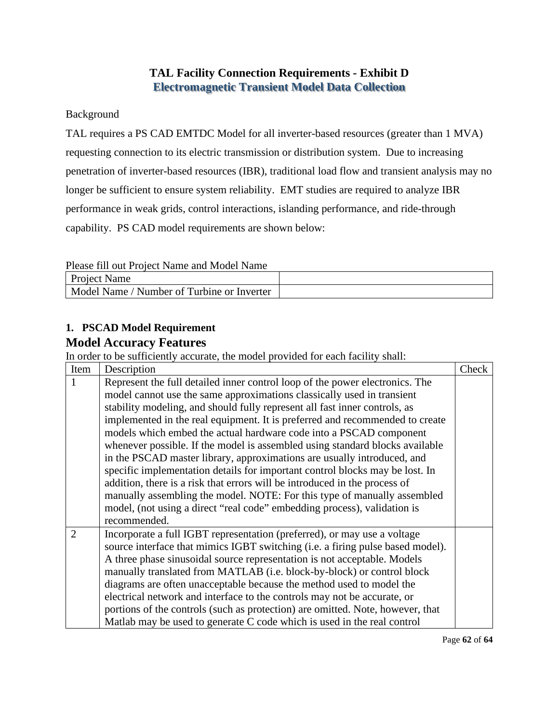# **TAL Facility Connection Requirements - Exhibit D Electromagnetic Transient Model Data Collection**

# Background

TAL requires a PS CAD EMTDC Model for all inverter-based resources (greater than 1 MVA) requesting connection to its electric transmission or distribution system. Due to increasing penetration of inverter-based resources (IBR), traditional load flow and transient analysis may no longer be sufficient to ensure system reliability. EMT studies are required to analyze IBR performance in weak grids, control interactions, islanding performance, and ride-through capability. PS CAD model requirements are shown below:

Please fill out Project Name and Model Name

| <b>Project Name</b>                             |  |
|-------------------------------------------------|--|
| / Number of Turbine or Inverter<br>- Model Name |  |

# **1. PSCAD Model Requirement Model Accuracy Features**

In order to be sufficiently accurate, the model provided for each facility shall:

| Item           | Description                                                                    | Check |
|----------------|--------------------------------------------------------------------------------|-------|
|                | Represent the full detailed inner control loop of the power electronics. The   |       |
|                | model cannot use the same approximations classically used in transient         |       |
|                | stability modeling, and should fully represent all fast inner controls, as     |       |
|                | implemented in the real equipment. It is preferred and recommended to create   |       |
|                | models which embed the actual hardware code into a PSCAD component             |       |
|                | whenever possible. If the model is assembled using standard blocks available   |       |
|                | in the PSCAD master library, approximations are usually introduced, and        |       |
|                | specific implementation details for important control blocks may be lost. In   |       |
|                | addition, there is a risk that errors will be introduced in the process of     |       |
|                | manually assembling the model. NOTE: For this type of manually assembled       |       |
|                | model, (not using a direct "real code" embedding process), validation is       |       |
|                | recommended.                                                                   |       |
| $\overline{2}$ | Incorporate a full IGBT representation (preferred), or may use a voltage       |       |
|                | source interface that mimics IGBT switching (i.e. a firing pulse based model). |       |
|                | A three phase sinusoidal source representation is not acceptable. Models       |       |
|                | manually translated from MATLAB (i.e. block-by-block) or control block         |       |
|                | diagrams are often unacceptable because the method used to model the           |       |
|                | electrical network and interface to the controls may not be accurate, or       |       |
|                | portions of the controls (such as protection) are omitted. Note, however, that |       |
|                | Matlab may be used to generate C code which is used in the real control        |       |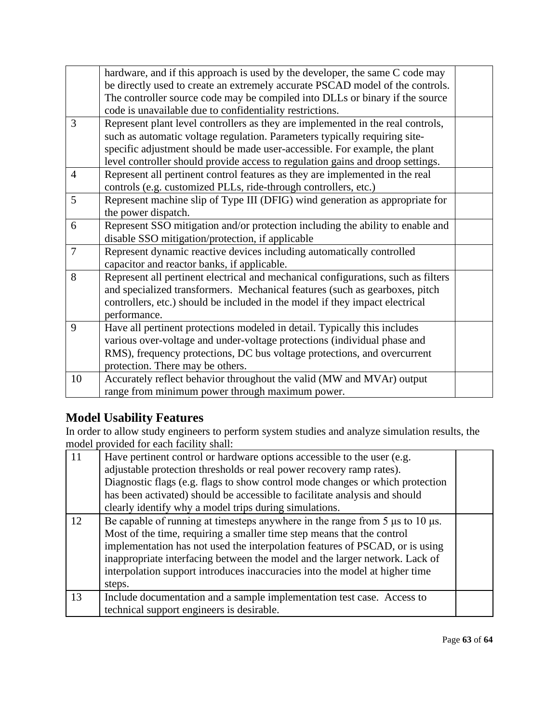|                | hardware, and if this approach is used by the developer, the same C code may      |  |
|----------------|-----------------------------------------------------------------------------------|--|
|                | be directly used to create an extremely accurate PSCAD model of the controls.     |  |
|                | The controller source code may be compiled into DLLs or binary if the source      |  |
|                | code is unavailable due to confidentiality restrictions.                          |  |
| 3              | Represent plant level controllers as they are implemented in the real controls,   |  |
|                | such as automatic voltage regulation. Parameters typically requiring site-        |  |
|                | specific adjustment should be made user-accessible. For example, the plant        |  |
|                | level controller should provide access to regulation gains and droop settings.    |  |
| $\overline{4}$ | Represent all pertinent control features as they are implemented in the real      |  |
|                | controls (e.g. customized PLLs, ride-through controllers, etc.)                   |  |
| 5              | Represent machine slip of Type III (DFIG) wind generation as appropriate for      |  |
|                | the power dispatch.                                                               |  |
| 6              | Represent SSO mitigation and/or protection including the ability to enable and    |  |
|                | disable SSO mitigation/protection, if applicable                                  |  |
| $\overline{7}$ | Represent dynamic reactive devices including automatically controlled             |  |
|                | capacitor and reactor banks, if applicable.                                       |  |
| 8              | Represent all pertinent electrical and mechanical configurations, such as filters |  |
|                | and specialized transformers. Mechanical features (such as gearboxes, pitch       |  |
|                | controllers, etc.) should be included in the model if they impact electrical      |  |
|                | performance.                                                                      |  |
| 9              | Have all pertinent protections modeled in detail. Typically this includes         |  |
|                | various over-voltage and under-voltage protections (individual phase and          |  |
|                | RMS), frequency protections, DC bus voltage protections, and overcurrent          |  |
|                | protection. There may be others.                                                  |  |
| 10             | Accurately reflect behavior throughout the valid (MW and MVAr) output             |  |
|                | range from minimum power through maximum power.                                   |  |

# **Model Usability Features**

In order to allow study engineers to perform system studies and analyze simulation results, the model provided for each facility shall:

| 11 | Have pertinent control or hardware options accessible to the user (e.g.<br>adjustable protection thresholds or real power recovery ramp rates). |  |
|----|-------------------------------------------------------------------------------------------------------------------------------------------------|--|
|    | Diagnostic flags (e.g. flags to show control mode changes or which protection                                                                   |  |
|    | has been activated) should be accessible to facilitate analysis and should                                                                      |  |
|    | clearly identify why a model trips during simulations.                                                                                          |  |
| 12 | Be capable of running at timesteps anywhere in the range from $5 \mu s$ to $10 \mu s$ .                                                         |  |
|    | Most of the time, requiring a smaller time step means that the control                                                                          |  |
|    | implementation has not used the interpolation features of PSCAD, or is using                                                                    |  |
|    | inappropriate interfacing between the model and the larger network. Lack of                                                                     |  |
|    | interpolation support introduces inaccuracies into the model at higher time                                                                     |  |
|    | steps.                                                                                                                                          |  |
| 13 | Include documentation and a sample implementation test case. Access to                                                                          |  |
|    | technical support engineers is desirable.                                                                                                       |  |